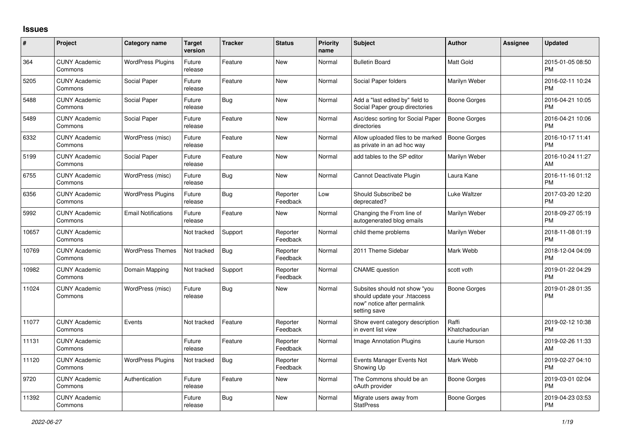## **Issues**

| #     | Project                         | <b>Category name</b>       | <b>Target</b><br>version | <b>Tracker</b> | <b>Status</b>        | <b>Priority</b><br>name | <b>Subject</b>                                                                                               | <b>Author</b>           | <b>Assignee</b> | <b>Updated</b>                |
|-------|---------------------------------|----------------------------|--------------------------|----------------|----------------------|-------------------------|--------------------------------------------------------------------------------------------------------------|-------------------------|-----------------|-------------------------------|
| 364   | <b>CUNY Academic</b><br>Commons | <b>WordPress Plugins</b>   | Future<br>release        | Feature        | <b>New</b>           | Normal                  | <b>Bulletin Board</b>                                                                                        | <b>Matt Gold</b>        |                 | 2015-01-05 08:50<br><b>PM</b> |
| 5205  | <b>CUNY Academic</b><br>Commons | Social Paper               | Future<br>release        | Feature        | <b>New</b>           | Normal                  | Social Paper folders                                                                                         | Marilyn Weber           |                 | 2016-02-11 10:24<br><b>PM</b> |
| 5488  | <b>CUNY Academic</b><br>Commons | Social Paper               | Future<br>release        | Bug            | <b>New</b>           | Normal                  | Add a "last edited by" field to<br>Social Paper group directories                                            | Boone Gorges            |                 | 2016-04-21 10:05<br><b>PM</b> |
| 5489  | <b>CUNY Academic</b><br>Commons | Social Paper               | Future<br>release        | Feature        | <b>New</b>           | Normal                  | Asc/desc sorting for Social Paper<br>directories                                                             | <b>Boone Gorges</b>     |                 | 2016-04-21 10:06<br><b>PM</b> |
| 6332  | <b>CUNY Academic</b><br>Commons | WordPress (misc)           | Future<br>release        | Feature        | <b>New</b>           | Normal                  | Allow uploaded files to be marked<br>as private in an ad hoc way                                             | <b>Boone Gorges</b>     |                 | 2016-10-17 11:41<br><b>PM</b> |
| 5199  | <b>CUNY Academic</b><br>Commons | Social Paper               | Future<br>release        | Feature        | <b>New</b>           | Normal                  | add tables to the SP editor                                                                                  | Marilyn Weber           |                 | 2016-10-24 11:27<br>AM        |
| 6755  | <b>CUNY Academic</b><br>Commons | WordPress (misc)           | Future<br>release        | Bug            | New                  | Normal                  | Cannot Deactivate Plugin                                                                                     | Laura Kane              |                 | 2016-11-16 01:12<br><b>PM</b> |
| 6356  | <b>CUNY Academic</b><br>Commons | <b>WordPress Plugins</b>   | Future<br>release        | Bug            | Reporter<br>Feedback | Low                     | Should Subscribe2 be<br>deprecated?                                                                          | Luke Waltzer            |                 | 2017-03-20 12:20<br><b>PM</b> |
| 5992  | <b>CUNY Academic</b><br>Commons | <b>Email Notifications</b> | Future<br>release        | Feature        | <b>New</b>           | Normal                  | Changing the From line of<br>autogenerated blog emails                                                       | Marilyn Weber           |                 | 2018-09-27 05:19<br><b>PM</b> |
| 10657 | <b>CUNY Academic</b><br>Commons |                            | Not tracked              | Support        | Reporter<br>Feedback | Normal                  | child theme problems                                                                                         | Marilyn Weber           |                 | 2018-11-08 01:19<br><b>PM</b> |
| 10769 | <b>CUNY Academic</b><br>Commons | <b>WordPress Themes</b>    | Not tracked              | <b>Bug</b>     | Reporter<br>Feedback | Normal                  | 2011 Theme Sidebar                                                                                           | Mark Webb               |                 | 2018-12-04 04:09<br><b>PM</b> |
| 10982 | <b>CUNY Academic</b><br>Commons | Domain Mapping             | Not tracked              | Support        | Reporter<br>Feedback | Normal                  | <b>CNAME</b> question                                                                                        | scott voth              |                 | 2019-01-22 04:29<br><b>PM</b> |
| 11024 | <b>CUNY Academic</b><br>Commons | WordPress (misc)           | Future<br>release        | <b>Bug</b>     | New                  | Normal                  | Subsites should not show "you<br>should update your .htaccess<br>now" notice after permalink<br>setting save | Boone Gorges            |                 | 2019-01-28 01:35<br><b>PM</b> |
| 11077 | <b>CUNY Academic</b><br>Commons | Events                     | Not tracked              | Feature        | Reporter<br>Feedback | Normal                  | Show event category description<br>in event list view                                                        | Raffi<br>Khatchadourian |                 | 2019-02-12 10:38<br><b>PM</b> |
| 11131 | <b>CUNY Academic</b><br>Commons |                            | Future<br>release        | Feature        | Reporter<br>Feedback | Normal                  | Image Annotation Plugins                                                                                     | Laurie Hurson           |                 | 2019-02-26 11:33<br>AM        |
| 11120 | <b>CUNY Academic</b><br>Commons | <b>WordPress Plugins</b>   | Not tracked              | Bug            | Reporter<br>Feedback | Normal                  | Events Manager Events Not<br>Showing Up                                                                      | Mark Webb               |                 | 2019-02-27 04:10<br><b>PM</b> |
| 9720  | <b>CUNY Academic</b><br>Commons | Authentication             | Future<br>release        | Feature        | <b>New</b>           | Normal                  | The Commons should be an<br>oAuth provider                                                                   | Boone Gorges            |                 | 2019-03-01 02:04<br><b>PM</b> |
| 11392 | <b>CUNY Academic</b><br>Commons |                            | Future<br>release        | <b>Bug</b>     | <b>New</b>           | Normal                  | Migrate users away from<br><b>StatPress</b>                                                                  | Boone Gorges            |                 | 2019-04-23 03:53<br><b>PM</b> |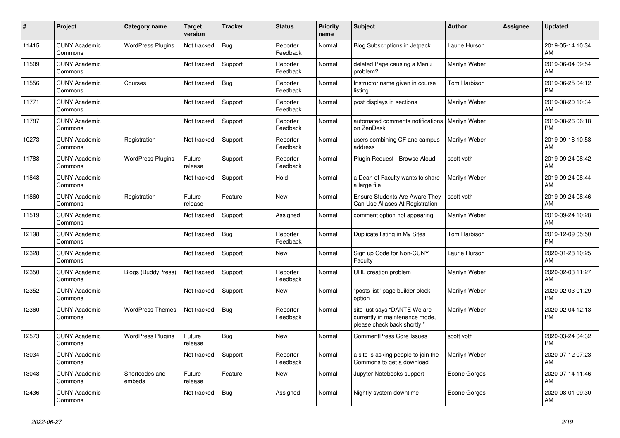| #     | <b>Project</b>                  | Category name             | <b>Target</b><br>version | <b>Tracker</b> | <b>Status</b>        | <b>Priority</b><br>name | <b>Subject</b>                                                                                | <b>Author</b>       | Assignee | <b>Updated</b>                |
|-------|---------------------------------|---------------------------|--------------------------|----------------|----------------------|-------------------------|-----------------------------------------------------------------------------------------------|---------------------|----------|-------------------------------|
| 11415 | <b>CUNY Academic</b><br>Commons | <b>WordPress Plugins</b>  | Not tracked              | <b>Bug</b>     | Reporter<br>Feedback | Normal                  | <b>Blog Subscriptions in Jetpack</b>                                                          | Laurie Hurson       |          | 2019-05-14 10:34<br>AM        |
| 11509 | <b>CUNY Academic</b><br>Commons |                           | Not tracked              | Support        | Reporter<br>Feedback | Normal                  | deleted Page causing a Menu<br>problem?                                                       | Marilyn Weber       |          | 2019-06-04 09:54<br>AM        |
| 11556 | <b>CUNY Academic</b><br>Commons | Courses                   | Not tracked              | <b>Bug</b>     | Reporter<br>Feedback | Normal                  | Instructor name given in course<br>listing                                                    | Tom Harbison        |          | 2019-06-25 04:12<br><b>PM</b> |
| 11771 | <b>CUNY Academic</b><br>Commons |                           | Not tracked              | Support        | Reporter<br>Feedback | Normal                  | post displays in sections                                                                     | Marilyn Weber       |          | 2019-08-20 10:34<br>AM        |
| 11787 | <b>CUNY Academic</b><br>Commons |                           | Not tracked              | Support        | Reporter<br>Feedback | Normal                  | automated comments notifications   Marilyn Weber<br>on ZenDesk                                |                     |          | 2019-08-26 06:18<br><b>PM</b> |
| 10273 | <b>CUNY Academic</b><br>Commons | Registration              | Not tracked              | Support        | Reporter<br>Feedback | Normal                  | users combining CF and campus<br>address                                                      | Marilyn Weber       |          | 2019-09-18 10:58<br>AM        |
| 11788 | <b>CUNY Academic</b><br>Commons | <b>WordPress Plugins</b>  | Future<br>release        | Support        | Reporter<br>Feedback | Normal                  | Plugin Reguest - Browse Aloud                                                                 | scott voth          |          | 2019-09-24 08:42<br>AM        |
| 11848 | <b>CUNY Academic</b><br>Commons |                           | Not tracked              | Support        | Hold                 | Normal                  | a Dean of Faculty wants to share<br>a large file                                              | Marilyn Weber       |          | 2019-09-24 08:44<br>AM        |
| 11860 | <b>CUNY Academic</b><br>Commons | Registration              | Future<br>release        | Feature        | <b>New</b>           | Normal                  | Ensure Students Are Aware They<br>Can Use Aliases At Registration                             | scott voth          |          | 2019-09-24 08:46<br>AM        |
| 11519 | <b>CUNY Academic</b><br>Commons |                           | Not tracked              | Support        | Assigned             | Normal                  | comment option not appearing                                                                  | Marilyn Weber       |          | 2019-09-24 10:28<br>AM        |
| 12198 | <b>CUNY Academic</b><br>Commons |                           | Not tracked              | Bug            | Reporter<br>Feedback | Normal                  | Duplicate listing in My Sites                                                                 | Tom Harbison        |          | 2019-12-09 05:50<br><b>PM</b> |
| 12328 | <b>CUNY Academic</b><br>Commons |                           | Not tracked              | Support        | <b>New</b>           | Normal                  | Sign up Code for Non-CUNY<br>Faculty                                                          | Laurie Hurson       |          | 2020-01-28 10:25<br>AM        |
| 12350 | <b>CUNY Academic</b><br>Commons | <b>Blogs (BuddyPress)</b> | Not tracked              | Support        | Reporter<br>Feedback | Normal                  | URL creation problem                                                                          | Marilyn Weber       |          | 2020-02-03 11:27<br>AM        |
| 12352 | <b>CUNY Academic</b><br>Commons |                           | Not tracked              | Support        | <b>New</b>           | Normal                  | "posts list" page builder block<br>option                                                     | Marilyn Weber       |          | 2020-02-03 01:29<br><b>PM</b> |
| 12360 | <b>CUNY Academic</b><br>Commons | <b>WordPress Themes</b>   | Not tracked              | Bug            | Reporter<br>Feedback | Normal                  | site just says "DANTE We are<br>currently in maintenance mode,<br>please check back shortly." | Marilyn Weber       |          | 2020-02-04 12:13<br><b>PM</b> |
| 12573 | <b>CUNY Academic</b><br>Commons | <b>WordPress Plugins</b>  | Future<br>release        | <b>Bug</b>     | <b>New</b>           | Normal                  | <b>CommentPress Core Issues</b>                                                               | scott voth          |          | 2020-03-24 04:32<br><b>PM</b> |
| 13034 | <b>CUNY Academic</b><br>Commons |                           | Not tracked              | Support        | Reporter<br>Feedback | Normal                  | a site is asking people to join the<br>Commons to get a download                              | Marilyn Weber       |          | 2020-07-12 07:23<br>AM        |
| 13048 | <b>CUNY Academic</b><br>Commons | Shortcodes and<br>embeds  | Future<br>release        | Feature        | <b>New</b>           | Normal                  | Jupyter Notebooks support                                                                     | Boone Gorges        |          | 2020-07-14 11:46<br>AM        |
| 12436 | <b>CUNY Academic</b><br>Commons |                           | Not tracked              | <b>Bug</b>     | Assigned             | Normal                  | Nightly system downtime                                                                       | <b>Boone Gorges</b> |          | 2020-08-01 09:30<br>AM        |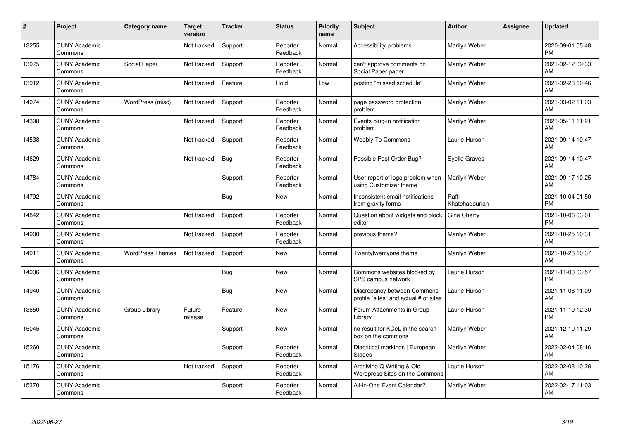| #     | Project                         | <b>Category name</b>    | <b>Target</b><br>version | <b>Tracker</b> | <b>Status</b>        | <b>Priority</b><br>name | <b>Subject</b>                                                       | Author                  | <b>Assignee</b> | <b>Updated</b>                |
|-------|---------------------------------|-------------------------|--------------------------|----------------|----------------------|-------------------------|----------------------------------------------------------------------|-------------------------|-----------------|-------------------------------|
| 13255 | <b>CUNY Academic</b><br>Commons |                         | Not tracked              | Support        | Reporter<br>Feedback | Normal                  | Accessibility problems                                               | Marilyn Weber           |                 | 2020-09-01 05:48<br><b>PM</b> |
| 13975 | <b>CUNY Academic</b><br>Commons | Social Paper            | Not tracked              | Support        | Reporter<br>Feedback | Normal                  | can't approve comments on<br>Social Paper paper                      | Marilyn Weber           |                 | 2021-02-12 09:33<br>AM        |
| 13912 | <b>CUNY Academic</b><br>Commons |                         | Not tracked              | Feature        | Hold                 | Low                     | posting "missed schedule"                                            | Marilyn Weber           |                 | 2021-02-23 10:46<br>AM        |
| 14074 | <b>CUNY Academic</b><br>Commons | WordPress (misc)        | Not tracked              | Support        | Reporter<br>Feedback | Normal                  | page password protection<br>problem                                  | Marilyn Weber           |                 | 2021-03-02 11:03<br>AM        |
| 14398 | <b>CUNY Academic</b><br>Commons |                         | Not tracked              | Support        | Reporter<br>Feedback | Normal                  | Events plug-in notification<br>problem                               | Marilyn Weber           |                 | 2021-05-11 11:21<br>AM        |
| 14538 | <b>CUNY Academic</b><br>Commons |                         | Not tracked              | Support        | Reporter<br>Feedback | Normal                  | <b>Weebly To Commons</b>                                             | Laurie Hurson           |                 | 2021-09-14 10:47<br>AM        |
| 14629 | <b>CUNY Academic</b><br>Commons |                         | Not tracked              | <b>Bug</b>     | Reporter<br>Feedback | Normal                  | Possible Post Order Bug?                                             | <b>Syelle Graves</b>    |                 | 2021-09-14 10:47<br>AM        |
| 14784 | <b>CUNY Academic</b><br>Commons |                         |                          | Support        | Reporter<br>Feedback | Normal                  | User report of logo problem when<br>using Customizer theme           | Marilyn Weber           |                 | 2021-09-17 10:25<br>AM        |
| 14792 | <b>CUNY Academic</b><br>Commons |                         |                          | <b>Bug</b>     | <b>New</b>           | Normal                  | Inconsistent email notifications<br>from gravity forms               | Raffi<br>Khatchadourian |                 | 2021-10-04 01:50<br><b>PM</b> |
| 14842 | <b>CUNY Academic</b><br>Commons |                         | Not tracked              | Support        | Reporter<br>Feedback | Normal                  | Question about widgets and block<br>editor                           | Gina Cherry             |                 | 2021-10-06 03:01<br><b>PM</b> |
| 14900 | <b>CUNY Academic</b><br>Commons |                         | Not tracked              | Support        | Reporter<br>Feedback | Normal                  | previous theme?                                                      | Marilyn Weber           |                 | 2021-10-25 10:31<br>AM        |
| 14911 | <b>CUNY Academic</b><br>Commons | <b>WordPress Themes</b> | Not tracked              | Support        | <b>New</b>           | Normal                  | Twentytwentyone theme                                                | Marilyn Weber           |                 | 2021-10-28 10:37<br>AM        |
| 14936 | <b>CUNY Academic</b><br>Commons |                         |                          | <b>Bug</b>     | <b>New</b>           | Normal                  | Commons websites blocked by<br>SPS campus network                    | Laurie Hurson           |                 | 2021-11-03 03:57<br><b>PM</b> |
| 14940 | <b>CUNY Academic</b><br>Commons |                         |                          | <b>Bug</b>     | <b>New</b>           | Normal                  | Discrepancy between Commons<br>profile "sites" and actual # of sites | Laurie Hurson           |                 | 2021-11-08 11:09<br>AM        |
| 13650 | <b>CUNY Academic</b><br>Commons | Group Library           | Future<br>release        | Feature        | <b>New</b>           | Normal                  | Forum Attachments in Group<br>Library                                | Laurie Hurson           |                 | 2021-11-19 12:30<br><b>PM</b> |
| 15045 | <b>CUNY Academic</b><br>Commons |                         |                          | Support        | <b>New</b>           | Normal                  | no result for KCeL in the search<br>box on the commons               | Marilyn Weber           |                 | 2021-12-10 11:29<br>AM        |
| 15260 | <b>CUNY Academic</b><br>Commons |                         |                          | Support        | Reporter<br>Feedback | Normal                  | Diacritical markings   European<br><b>Stages</b>                     | Marilyn Weber           |                 | 2022-02-04 08:16<br>AM        |
| 15176 | <b>CUNY Academic</b><br>Commons |                         | Not tracked              | Support        | Reporter<br>Feedback | Normal                  | Archiving Q Writing & Old<br>Wordpress Sites on the Commons          | Laurie Hurson           |                 | 2022-02-08 10:28<br>AM        |
| 15370 | <b>CUNY Academic</b><br>Commons |                         |                          | Support        | Reporter<br>Feedback | Normal                  | All-in-One Event Calendar?                                           | Marilyn Weber           |                 | 2022-02-17 11:03<br>AM        |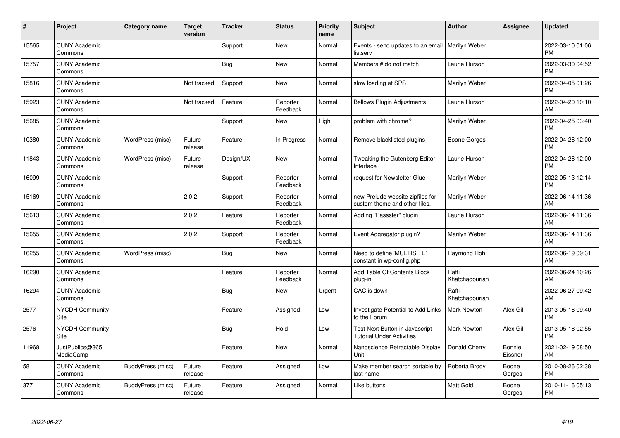| #     | Project                         | <b>Category name</b> | <b>Target</b><br>version | <b>Tracker</b> | <b>Status</b>        | <b>Priority</b><br>name | <b>Subject</b>                                                     | <b>Author</b>           | <b>Assignee</b>   | <b>Updated</b>                |
|-------|---------------------------------|----------------------|--------------------------|----------------|----------------------|-------------------------|--------------------------------------------------------------------|-------------------------|-------------------|-------------------------------|
| 15565 | <b>CUNY Academic</b><br>Commons |                      |                          | Support        | <b>New</b>           | Normal                  | Events - send updates to an email   Marilyn Weber<br>listserv      |                         |                   | 2022-03-10 01:06<br><b>PM</b> |
| 15757 | <b>CUNY Academic</b><br>Commons |                      |                          | <b>Bug</b>     | <b>New</b>           | Normal                  | Members # do not match                                             | Laurie Hurson           |                   | 2022-03-30 04:52<br><b>PM</b> |
| 15816 | <b>CUNY Academic</b><br>Commons |                      | Not tracked              | Support        | <b>New</b>           | Normal                  | slow loading at SPS                                                | Marilyn Weber           |                   | 2022-04-05 01:26<br><b>PM</b> |
| 15923 | <b>CUNY Academic</b><br>Commons |                      | Not tracked              | Feature        | Reporter<br>Feedback | Normal                  | <b>Bellows Plugin Adjustments</b>                                  | Laurie Hurson           |                   | 2022-04-20 10:10<br>AM        |
| 15685 | <b>CUNY Academic</b><br>Commons |                      |                          | Support        | New                  | High                    | problem with chrome?                                               | Marilyn Weber           |                   | 2022-04-25 03:40<br><b>PM</b> |
| 10380 | <b>CUNY Academic</b><br>Commons | WordPress (misc)     | Future<br>release        | Feature        | In Progress          | Normal                  | Remove blacklisted plugins                                         | <b>Boone Gorges</b>     |                   | 2022-04-26 12:00<br><b>PM</b> |
| 11843 | <b>CUNY Academic</b><br>Commons | WordPress (misc)     | Future<br>release        | Design/UX      | New                  | Normal                  | Tweaking the Gutenberg Editor<br>Interface                         | Laurie Hurson           |                   | 2022-04-26 12:00<br><b>PM</b> |
| 16099 | <b>CUNY Academic</b><br>Commons |                      |                          | Support        | Reporter<br>Feedback | Normal                  | request for Newsletter Glue                                        | Marilyn Weber           |                   | 2022-05-13 12:14<br><b>PM</b> |
| 15169 | <b>CUNY Academic</b><br>Commons |                      | 2.0.2                    | Support        | Reporter<br>Feedback | Normal                  | new Prelude website zipfiles for<br>custom theme and other files.  | Marilyn Weber           |                   | 2022-06-14 11:36<br>AM        |
| 15613 | <b>CUNY Academic</b><br>Commons |                      | 2.0.2                    | Feature        | Reporter<br>Feedback | Normal                  | Adding "Passster" plugin                                           | Laurie Hurson           |                   | 2022-06-14 11:36<br>AM        |
| 15655 | <b>CUNY Academic</b><br>Commons |                      | 2.0.2                    | Support        | Reporter<br>Feedback | Normal                  | Event Aggregator plugin?                                           | Marilyn Weber           |                   | 2022-06-14 11:36<br>AM        |
| 16255 | <b>CUNY Academic</b><br>Commons | WordPress (misc)     |                          | <b>Bug</b>     | New                  | Normal                  | Need to define 'MULTISITE'<br>constant in wp-config.php            | Raymond Hoh             |                   | 2022-06-19 09:31<br>AM        |
| 16290 | <b>CUNY Academic</b><br>Commons |                      |                          | Feature        | Reporter<br>Feedback | Normal                  | Add Table Of Contents Block<br>plug-in                             | Raffi<br>Khatchadourian |                   | 2022-06-24 10:26<br>AM        |
| 16294 | <b>CUNY Academic</b><br>Commons |                      |                          | <b>Bug</b>     | <b>New</b>           | Urgent                  | CAC is down                                                        | Raffi<br>Khatchadourian |                   | 2022-06-27 09:42<br>AM        |
| 2577  | <b>NYCDH Community</b><br>Site  |                      |                          | Feature        | Assigned             | Low                     | Investigate Potential to Add Links<br>to the Forum                 | <b>Mark Newton</b>      | Alex Gil          | 2013-05-16 09:40<br><b>PM</b> |
| 2576  | NYCDH Community<br>Site         |                      |                          | <b>Bug</b>     | Hold                 | Low                     | Test Next Button in Javascript<br><b>Tutorial Under Activities</b> | <b>Mark Newton</b>      | Alex Gil          | 2013-05-18 02:55<br><b>PM</b> |
| 11968 | JustPublics@365<br>MediaCamp    |                      |                          | Feature        | New                  | Normal                  | Nanoscience Retractable Display<br>Unit                            | Donald Cherry           | Bonnie<br>Eissner | 2021-02-19 08:50<br>AM        |
| 58    | <b>CUNY Academic</b><br>Commons | BuddyPress (misc)    | Future<br>release        | Feature        | Assigned             | Low                     | Make member search sortable by<br>last name                        | Roberta Brody           | Boone<br>Gorges   | 2010-08-26 02:38<br><b>PM</b> |
| 377   | <b>CUNY Academic</b><br>Commons | BuddyPress (misc)    | Future<br>release        | Feature        | Assigned             | Normal                  | Like buttons                                                       | <b>Matt Gold</b>        | Boone<br>Gorges   | 2010-11-16 05:13<br>PM        |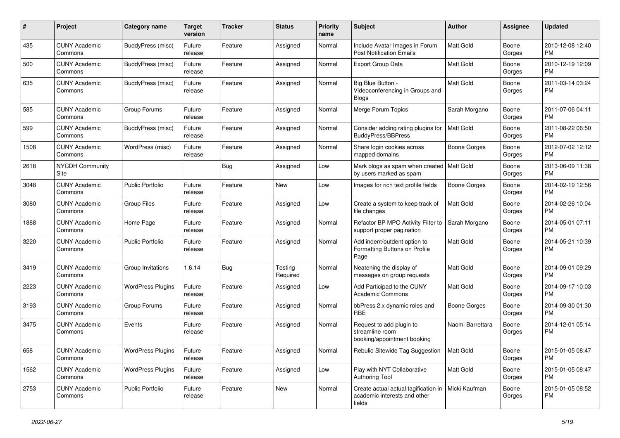| #    | Project                         | <b>Category name</b>     | <b>Target</b><br>version | <b>Tracker</b> | <b>Status</b>       | <b>Priority</b><br>name | Subject                                                                                        | Author              | <b>Assignee</b> | <b>Updated</b>                |
|------|---------------------------------|--------------------------|--------------------------|----------------|---------------------|-------------------------|------------------------------------------------------------------------------------------------|---------------------|-----------------|-------------------------------|
| 435  | <b>CUNY Academic</b><br>Commons | BuddyPress (misc)        | Future<br>release        | Feature        | Assigned            | Normal                  | Include Avatar Images in Forum<br><b>Post Notification Emails</b>                              | <b>Matt Gold</b>    | Boone<br>Gorges | 2010-12-08 12:40<br>PM        |
| 500  | <b>CUNY Academic</b><br>Commons | BuddyPress (misc)        | Future<br>release        | Feature        | Assigned            | Normal                  | <b>Export Group Data</b>                                                                       | Matt Gold           | Boone<br>Gorges | 2010-12-19 12:09<br>PM        |
| 635  | <b>CUNY Academic</b><br>Commons | BuddyPress (misc)        | Future<br>release        | Feature        | Assigned            | Normal                  | Big Blue Button -<br>Videoconferencing in Groups and<br>Blogs                                  | Matt Gold           | Boone<br>Gorges | 2011-03-14 03:24<br><b>PM</b> |
| 585  | <b>CUNY Academic</b><br>Commons | Group Forums             | Future<br>release        | Feature        | Assigned            | Normal                  | Merge Forum Topics                                                                             | Sarah Morgano       | Boone<br>Gorges | 2011-07-06 04:11<br><b>PM</b> |
| 599  | <b>CUNY Academic</b><br>Commons | BuddyPress (misc)        | Future<br>release        | Feature        | Assigned            | Normal                  | Consider adding rating plugins for<br><b>BuddyPress/BBPress</b>                                | <b>Matt Gold</b>    | Boone<br>Gorges | 2011-08-22 06:50<br>PM        |
| 1508 | <b>CUNY Academic</b><br>Commons | WordPress (misc)         | Future<br>release        | Feature        | Assigned            | Normal                  | Share login cookies across<br>mapped domains                                                   | Boone Gorges        | Boone<br>Gorges | 2012-07-02 12:12<br><b>PM</b> |
| 2618 | <b>NYCDH Community</b><br>Site  |                          |                          | Bug            | Assigned            | Low                     | Mark blogs as spam when created   Matt Gold<br>by users marked as spam                         |                     | Boone<br>Gorges | 2013-06-09 11:38<br>PM        |
| 3048 | <b>CUNY Academic</b><br>Commons | <b>Public Portfolio</b>  | Future<br>release        | Feature        | New                 | Low                     | Images for rich text profile fields                                                            | <b>Boone Gorges</b> | Boone<br>Gorges | 2014-02-19 12:56<br>PM        |
| 3080 | <b>CUNY Academic</b><br>Commons | <b>Group Files</b>       | Future<br>release        | Feature        | Assigned            | Low                     | Create a system to keep track of<br>file changes                                               | Matt Gold           | Boone<br>Gorges | 2014-02-26 10:04<br><b>PM</b> |
| 1888 | <b>CUNY Academic</b><br>Commons | Home Page                | Future<br>release        | Feature        | Assigned            | Normal                  | Refactor BP MPO Activity Filter to<br>support proper pagination                                | Sarah Morgano       | Boone<br>Gorges | 2014-05-01 07:11<br><b>PM</b> |
| 3220 | <b>CUNY Academic</b><br>Commons | <b>Public Portfolio</b>  | Future<br>release        | Feature        | Assigned            | Normal                  | Add indent/outdent option to<br>Formatting Buttons on Profile<br>Page                          | Matt Gold           | Boone<br>Gorges | 2014-05-21 10:39<br>PM        |
| 3419 | <b>CUNY Academic</b><br>Commons | Group Invitations        | 1.6.14                   | Bug            | Testing<br>Required | Normal                  | Neatening the display of<br>messages on group requests                                         | Matt Gold           | Boone<br>Gorges | 2014-09-01 09:29<br><b>PM</b> |
| 2223 | <b>CUNY Academic</b><br>Commons | <b>WordPress Plugins</b> | Future<br>release        | Feature        | Assigned            | Low                     | Add Participad to the CUNY<br><b>Academic Commons</b>                                          | Matt Gold           | Boone<br>Gorges | 2014-09-17 10:03<br><b>PM</b> |
| 3193 | <b>CUNY Academic</b><br>Commons | Group Forums             | Future<br>release        | Feature        | Assigned            | Normal                  | bbPress 2.x dynamic roles and<br><b>RBE</b>                                                    | <b>Boone Gorges</b> | Boone<br>Gorges | 2014-09-30 01:30<br><b>PM</b> |
| 3475 | <b>CUNY Academic</b><br>Commons | Events                   | Future<br>release        | Feature        | Assigned            | Normal                  | Request to add plugin to<br>streamline room<br>booking/appointment booking                     | Naomi Barrettara    | Boone<br>Gorges | 2014-12-01 05:14<br>PM        |
| 658  | <b>CUNY Academic</b><br>Commons | <b>WordPress Plugins</b> | Future<br>release        | Feature        | Assigned            | Normal                  | Rebulid Sitewide Tag Suggestion                                                                | <b>Matt Gold</b>    | Boone<br>Gorges | 2015-01-05 08:47<br><b>PM</b> |
| 1562 | <b>CUNY Academic</b><br>Commons | <b>WordPress Plugins</b> | Future<br>release        | Feature        | Assigned            | Low                     | Play with NYT Collaborative<br><b>Authoring Tool</b>                                           | Matt Gold           | Boone<br>Gorges | 2015-01-05 08:47<br><b>PM</b> |
| 2753 | <b>CUNY Academic</b><br>Commons | Public Portfolio         | Future<br>release        | Feature        | New                 | Normal                  | Create actual actual tagification in   Micki Kaufman<br>academic interests and other<br>fields |                     | Boone<br>Gorges | 2015-01-05 08:52<br>PM        |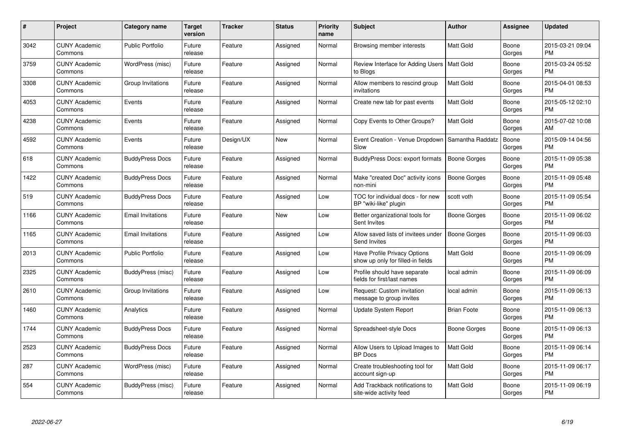| #    | Project                         | <b>Category name</b>     | Target<br>version | <b>Tracker</b> | <b>Status</b> | <b>Priority</b><br>name | <b>Subject</b>                                                    | <b>Author</b>       | <b>Assignee</b> | <b>Updated</b>                |
|------|---------------------------------|--------------------------|-------------------|----------------|---------------|-------------------------|-------------------------------------------------------------------|---------------------|-----------------|-------------------------------|
| 3042 | <b>CUNY Academic</b><br>Commons | <b>Public Portfolio</b>  | Future<br>release | Feature        | Assigned      | Normal                  | Browsing member interests                                         | <b>Matt Gold</b>    | Boone<br>Gorges | 2015-03-21 09:04<br><b>PM</b> |
| 3759 | <b>CUNY Academic</b><br>Commons | WordPress (misc)         | Future<br>release | Feature        | Assigned      | Normal                  | Review Interface for Adding Users   Matt Gold<br>to Blogs         |                     | Boone<br>Gorges | 2015-03-24 05:52<br><b>PM</b> |
| 3308 | <b>CUNY Academic</b><br>Commons | Group Invitations        | Future<br>release | Feature        | Assigned      | Normal                  | Allow members to rescind group<br>invitations                     | <b>Matt Gold</b>    | Boone<br>Gorges | 2015-04-01 08:53<br><b>PM</b> |
| 4053 | <b>CUNY Academic</b><br>Commons | Events                   | Future<br>release | Feature        | Assigned      | Normal                  | Create new tab for past events                                    | <b>Matt Gold</b>    | Boone<br>Gorges | 2015-05-12 02:10<br><b>PM</b> |
| 4238 | <b>CUNY Academic</b><br>Commons | Events                   | Future<br>release | Feature        | Assigned      | Normal                  | Copy Events to Other Groups?                                      | Matt Gold           | Boone<br>Gorges | 2015-07-02 10:08<br>AM        |
| 4592 | <b>CUNY Academic</b><br>Commons | Events                   | Future<br>release | Design/UX      | <b>New</b>    | Normal                  | Event Creation - Venue Dropdown   Samantha Raddatz<br>Slow        |                     | Boone<br>Gorges | 2015-09-14 04:56<br><b>PM</b> |
| 618  | <b>CUNY Academic</b><br>Commons | <b>BuddyPress Docs</b>   | Future<br>release | Feature        | Assigned      | Normal                  | <b>BuddyPress Docs: export formats</b>                            | <b>Boone Gorges</b> | Boone<br>Gorges | 2015-11-09 05:38<br><b>PM</b> |
| 1422 | <b>CUNY Academic</b><br>Commons | <b>BuddyPress Docs</b>   | Future<br>release | Feature        | Assigned      | Normal                  | Make "created Doc" activity icons<br>non-mini                     | <b>Boone Gorges</b> | Boone<br>Gorges | 2015-11-09 05:48<br><b>PM</b> |
| 519  | <b>CUNY Academic</b><br>Commons | <b>BuddyPress Docs</b>   | Future<br>release | Feature        | Assigned      | Low                     | TOC for individual docs - for new<br>BP "wiki-like" plugin        | scott voth          | Boone<br>Gorges | 2015-11-09 05:54<br><b>PM</b> |
| 1166 | <b>CUNY Academic</b><br>Commons | <b>Email Invitations</b> | Future<br>release | Feature        | <b>New</b>    | Low                     | Better organizational tools for<br>Sent Invites                   | Boone Gorges        | Boone<br>Gorges | 2015-11-09 06:02<br><b>PM</b> |
| 1165 | <b>CUNY Academic</b><br>Commons | <b>Email Invitations</b> | Future<br>release | Feature        | Assigned      | Low                     | Allow saved lists of invitees under<br>Send Invites               | Boone Gorges        | Boone<br>Gorges | 2015-11-09 06:03<br><b>PM</b> |
| 2013 | <b>CUNY Academic</b><br>Commons | <b>Public Portfolio</b>  | Future<br>release | Feature        | Assigned      | Low                     | Have Profile Privacy Options<br>show up only for filled-in fields | <b>Matt Gold</b>    | Boone<br>Gorges | 2015-11-09 06:09<br><b>PM</b> |
| 2325 | <b>CUNY Academic</b><br>Commons | BuddyPress (misc)        | Future<br>release | Feature        | Assigned      | Low                     | Profile should have separate<br>fields for first/last names       | local admin         | Boone<br>Gorges | 2015-11-09 06:09<br><b>PM</b> |
| 2610 | <b>CUNY Academic</b><br>Commons | Group Invitations        | Future<br>release | Feature        | Assigned      | Low                     | Request: Custom invitation<br>message to group invites            | local admin         | Boone<br>Gorges | 2015-11-09 06:13<br><b>PM</b> |
| 1460 | <b>CUNY Academic</b><br>Commons | Analytics                | Future<br>release | Feature        | Assigned      | Normal                  | <b>Update System Report</b>                                       | <b>Brian Foote</b>  | Boone<br>Gorges | 2015-11-09 06:13<br><b>PM</b> |
| 1744 | <b>CUNY Academic</b><br>Commons | <b>BuddyPress Docs</b>   | Future<br>release | Feature        | Assigned      | Normal                  | Spreadsheet-style Docs                                            | <b>Boone Gorges</b> | Boone<br>Gorges | 2015-11-09 06:13<br><b>PM</b> |
| 2523 | <b>CUNY Academic</b><br>Commons | <b>BuddyPress Docs</b>   | Future<br>release | Feature        | Assigned      | Normal                  | Allow Users to Upload Images to<br><b>BP</b> Docs                 | <b>Matt Gold</b>    | Boone<br>Gorges | 2015-11-09 06:14<br><b>PM</b> |
| 287  | <b>CUNY Academic</b><br>Commons | WordPress (misc)         | Future<br>release | Feature        | Assigned      | Normal                  | Create troubleshooting tool for<br>account sign-up                | Matt Gold           | Boone<br>Gorges | 2015-11-09 06:17<br><b>PM</b> |
| 554  | <b>CUNY Academic</b><br>Commons | BuddyPress (misc)        | Future<br>release | Feature        | Assigned      | Normal                  | Add Trackback notifications to<br>site-wide activity feed         | <b>Matt Gold</b>    | Boone<br>Gorges | 2015-11-09 06:19<br><b>PM</b> |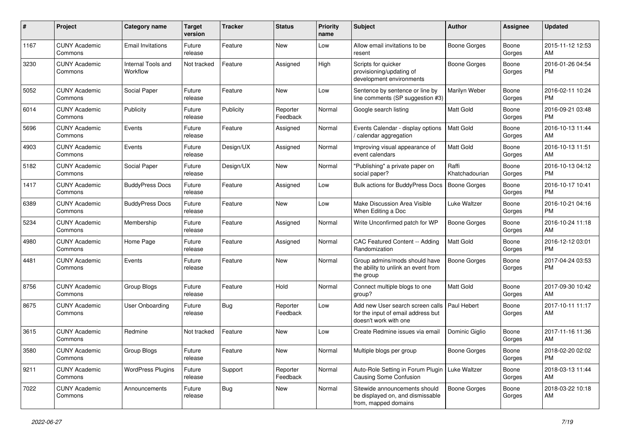| #    | Project                         | <b>Category name</b>           | <b>Target</b><br>version | <b>Tracker</b> | <b>Status</b>        | <b>Priority</b><br>name | Subject                                                                                         | Author                  | Assignee        | <b>Updated</b>                |
|------|---------------------------------|--------------------------------|--------------------------|----------------|----------------------|-------------------------|-------------------------------------------------------------------------------------------------|-------------------------|-----------------|-------------------------------|
| 1167 | <b>CUNY Academic</b><br>Commons | <b>Email Invitations</b>       | Future<br>release        | Feature        | New                  | Low                     | Allow email invitations to be<br>resent                                                         | <b>Boone Gorges</b>     | Boone<br>Gorges | 2015-11-12 12:53<br>AM        |
| 3230 | <b>CUNY Academic</b><br>Commons | Internal Tools and<br>Workflow | Not tracked              | Feature        | Assigned             | High                    | Scripts for quicker<br>provisioning/updating of<br>development environments                     | <b>Boone Gorges</b>     | Boone<br>Gorges | 2016-01-26 04:54<br>PM        |
| 5052 | <b>CUNY Academic</b><br>Commons | Social Paper                   | Future<br>release        | Feature        | New                  | Low                     | Sentence by sentence or line by<br>line comments (SP suggestion #3)                             | Marilyn Weber           | Boone<br>Gorges | 2016-02-11 10:24<br>PM        |
| 6014 | <b>CUNY Academic</b><br>Commons | Publicity                      | Future<br>release        | Publicity      | Reporter<br>Feedback | Normal                  | Google search listing                                                                           | Matt Gold               | Boone<br>Gorges | 2016-09-21 03:48<br>PM        |
| 5696 | <b>CUNY Academic</b><br>Commons | Events                         | Future<br>release        | Feature        | Assigned             | Normal                  | Events Calendar - display options<br>/ calendar aggregation                                     | <b>Matt Gold</b>        | Boone<br>Gorges | 2016-10-13 11:44<br>AM        |
| 4903 | <b>CUNY Academic</b><br>Commons | Events                         | Future<br>release        | Design/UX      | Assigned             | Normal                  | Improving visual appearance of<br>event calendars                                               | Matt Gold               | Boone<br>Gorges | 2016-10-13 11:51<br>AM        |
| 5182 | <b>CUNY Academic</b><br>Commons | Social Paper                   | Future<br>release        | Design/UX      | New                  | Normal                  | "Publishing" a private paper on<br>social paper?                                                | Raffi<br>Khatchadourian | Boone<br>Gorges | 2016-10-13 04:12<br>PM        |
| 1417 | <b>CUNY Academic</b><br>Commons | <b>BuddyPress Docs</b>         | Future<br>release        | Feature        | Assigned             | Low                     | <b>Bulk actions for BuddyPress Docs</b>                                                         | Boone Gorges            | Boone<br>Gorges | 2016-10-17 10:41<br>PM        |
| 6389 | <b>CUNY Academic</b><br>Commons | <b>BuddyPress Docs</b>         | Future<br>release        | Feature        | New                  | Low                     | Make Discussion Area Visible<br>When Editing a Doc                                              | Luke Waltzer            | Boone<br>Gorges | 2016-10-21 04:16<br><b>PM</b> |
| 5234 | <b>CUNY Academic</b><br>Commons | Membership                     | Future<br>release        | Feature        | Assigned             | Normal                  | Write Unconfirmed patch for WP                                                                  | <b>Boone Gorges</b>     | Boone<br>Gorges | 2016-10-24 11:18<br>AM        |
| 4980 | <b>CUNY Academic</b><br>Commons | Home Page                      | Future<br>release        | Feature        | Assigned             | Normal                  | CAC Featured Content -- Adding<br>Randomization                                                 | Matt Gold               | Boone<br>Gorges | 2016-12-12 03:01<br><b>PM</b> |
| 4481 | <b>CUNY Academic</b><br>Commons | Events                         | Future<br>release        | Feature        | New                  | Normal                  | Group admins/mods should have<br>the ability to unlink an event from<br>the group               | <b>Boone Gorges</b>     | Boone<br>Gorges | 2017-04-24 03:53<br>PM        |
| 8756 | <b>CUNY Academic</b><br>Commons | Group Blogs                    | Future<br>release        | Feature        | Hold                 | Normal                  | Connect multiple blogs to one<br>group?                                                         | Matt Gold               | Boone<br>Gorges | 2017-09-30 10:42<br>AM        |
| 8675 | <b>CUNY Academic</b><br>Commons | User Onboarding                | Future<br>release        | <b>Bug</b>     | Reporter<br>Feedback | Low                     | Add new User search screen calls<br>for the input of email address but<br>doesn't work with one | <b>Paul Hebert</b>      | Boone<br>Gorges | 2017-10-11 11:17<br>AM        |
| 3615 | <b>CUNY Academic</b><br>Commons | Redmine                        | Not tracked              | Feature        | New                  | Low                     | Create Redmine issues via email                                                                 | Dominic Gialio          | Boone<br>Gorges | 2017-11-16 11:36<br>AM        |
| 3580 | <b>CUNY Academic</b><br>Commons | Group Blogs                    | Future<br>release        | Feature        | New                  | Normal                  | Multiple blogs per group                                                                        | Boone Gorges            | Boone<br>Gorges | 2018-02-20 02:02<br><b>PM</b> |
| 9211 | <b>CUNY Academic</b><br>Commons | <b>WordPress Plugins</b>       | Future<br>release        | Support        | Reporter<br>Feedback | Normal                  | Auto-Role Setting in Forum Plugin<br>Causing Some Confusion                                     | Luke Waltzer            | Boone<br>Gorges | 2018-03-13 11:44<br>AM        |
| 7022 | <b>CUNY Academic</b><br>Commons | Announcements                  | Future<br>release        | <b>Bug</b>     | New                  | Normal                  | Sitewide announcements should<br>be displayed on, and dismissable<br>from, mapped domains       | Boone Gorges            | Boone<br>Gorges | 2018-03-22 10:18<br>AM        |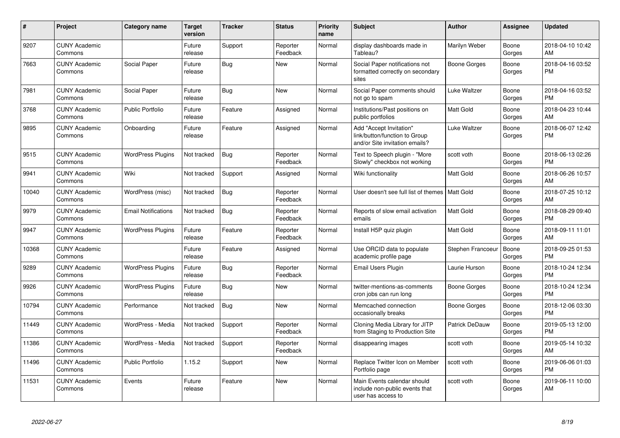| #     | Project                         | <b>Category name</b>       | <b>Target</b><br>version | <b>Tracker</b> | <b>Status</b>        | <b>Priority</b><br>name | <b>Subject</b>                                                                             | <b>Author</b>     | Assignee        | <b>Updated</b>                |
|-------|---------------------------------|----------------------------|--------------------------|----------------|----------------------|-------------------------|--------------------------------------------------------------------------------------------|-------------------|-----------------|-------------------------------|
| 9207  | <b>CUNY Academic</b><br>Commons |                            | Future<br>release        | Support        | Reporter<br>Feedback | Normal                  | display dashboards made in<br>Tableau?                                                     | Marilyn Weber     | Boone<br>Gorges | 2018-04-10 10:42<br>AM        |
| 7663  | <b>CUNY Academic</b><br>Commons | Social Paper               | Future<br>release        | Bug            | <b>New</b>           | Normal                  | Social Paper notifications not<br>formatted correctly on secondary<br>sites                | Boone Gorges      | Boone<br>Gorges | 2018-04-16 03:52<br><b>PM</b> |
| 7981  | <b>CUNY Academic</b><br>Commons | Social Paper               | Future<br>release        | Bug            | New                  | Normal                  | Social Paper comments should<br>not go to spam                                             | Luke Waltzer      | Boone<br>Gorges | 2018-04-16 03:52<br><b>PM</b> |
| 3768  | <b>CUNY Academic</b><br>Commons | <b>Public Portfolio</b>    | Future<br>release        | Feature        | Assigned             | Normal                  | Institutions/Past positions on<br>public portfolios                                        | <b>Matt Gold</b>  | Boone<br>Gorges | 2018-04-23 10:44<br>AM        |
| 9895  | <b>CUNY Academic</b><br>Commons | Onboarding                 | Future<br>release        | Feature        | Assigned             | Normal                  | Add "Accept Invitation"<br>link/button/function to Group<br>and/or Site invitation emails? | Luke Waltzer      | Boone<br>Gorges | 2018-06-07 12:42<br><b>PM</b> |
| 9515  | <b>CUNY Academic</b><br>Commons | <b>WordPress Plugins</b>   | Not tracked              | Bug            | Reporter<br>Feedback | Normal                  | Text to Speech plugin - "More<br>Slowly" checkbox not working                              | scott voth        | Boone<br>Gorges | 2018-06-13 02:26<br><b>PM</b> |
| 9941  | <b>CUNY Academic</b><br>Commons | Wiki                       | Not tracked              | Support        | Assigned             | Normal                  | Wiki functionality                                                                         | Matt Gold         | Boone<br>Gorges | 2018-06-26 10:57<br>AM        |
| 10040 | <b>CUNY Academic</b><br>Commons | WordPress (misc)           | Not tracked              | Bug            | Reporter<br>Feedback | Normal                  | User doesn't see full list of themes   Matt Gold                                           |                   | Boone<br>Gorges | 2018-07-25 10:12<br>AM        |
| 9979  | <b>CUNY Academic</b><br>Commons | <b>Email Notifications</b> | Not tracked              | Bug            | Reporter<br>Feedback | Normal                  | Reports of slow email activation<br>emails                                                 | <b>Matt Gold</b>  | Boone<br>Gorges | 2018-08-29 09:40<br><b>PM</b> |
| 9947  | <b>CUNY Academic</b><br>Commons | <b>WordPress Plugins</b>   | Future<br>release        | Feature        | Reporter<br>Feedback | Normal                  | Install H5P quiz plugin                                                                    | <b>Matt Gold</b>  | Boone<br>Gorges | 2018-09-11 11:01<br>AM        |
| 10368 | <b>CUNY Academic</b><br>Commons |                            | Future<br>release        | Feature        | Assigned             | Normal                  | Use ORCID data to populate<br>academic profile page                                        | Stephen Francoeur | Boone<br>Gorges | 2018-09-25 01:53<br><b>PM</b> |
| 9289  | <b>CUNY Academic</b><br>Commons | <b>WordPress Plugins</b>   | Future<br>release        | Bug            | Reporter<br>Feedback | Normal                  | <b>Email Users Plugin</b>                                                                  | Laurie Hurson     | Boone<br>Gorges | 2018-10-24 12:34<br><b>PM</b> |
| 9926  | <b>CUNY Academic</b><br>Commons | <b>WordPress Plugins</b>   | Future<br>release        | Bug            | New                  | Normal                  | twitter-mentions-as-comments<br>cron jobs can run long                                     | Boone Gorges      | Boone<br>Gorges | 2018-10-24 12:34<br><b>PM</b> |
| 10794 | <b>CUNY Academic</b><br>Commons | Performance                | Not tracked              | Bug            | <b>New</b>           | Normal                  | Memcached connection<br>occasionally breaks                                                | Boone Gorges      | Boone<br>Gorges | 2018-12-06 03:30<br><b>PM</b> |
| 11449 | <b>CUNY Academic</b><br>Commons | WordPress - Media          | Not tracked              | Support        | Reporter<br>Feedback | Normal                  | Cloning Media Library for JITP<br>from Staging to Production Site                          | Patrick DeDauw    | Boone<br>Gorges | 2019-05-13 12:00<br><b>PM</b> |
| 11386 | <b>CUNY Academic</b><br>Commons | WordPress - Media          | Not tracked              | Support        | Reporter<br>Feedback | Normal                  | disappearing images                                                                        | scott voth        | Boone<br>Gorges | 2019-05-14 10:32<br>AM        |
| 11496 | <b>CUNY Academic</b><br>Commons | <b>Public Portfolio</b>    | 1.15.2                   | Support        | <b>New</b>           | Normal                  | Replace Twitter Icon on Member<br>Portfolio page                                           | scott voth        | Boone<br>Gorges | 2019-06-06 01:03<br><b>PM</b> |
| 11531 | <b>CUNY Academic</b><br>Commons | Events                     | Future<br>release        | Feature        | <b>New</b>           | Normal                  | Main Events calendar should<br>include non-public events that<br>user has access to        | scott voth        | Boone<br>Gorges | 2019-06-11 10:00<br>AM        |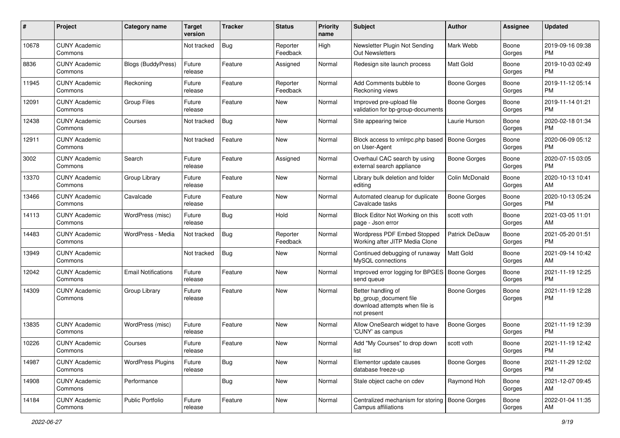| #     | Project                         | <b>Category name</b>       | <b>Target</b><br>version | <b>Tracker</b> | <b>Status</b>        | <b>Priority</b><br>name | Subject                                                                                       | Author              | <b>Assignee</b> | <b>Updated</b>                |
|-------|---------------------------------|----------------------------|--------------------------|----------------|----------------------|-------------------------|-----------------------------------------------------------------------------------------------|---------------------|-----------------|-------------------------------|
| 10678 | <b>CUNY Academic</b><br>Commons |                            | Not tracked              | Bug            | Reporter<br>Feedback | High                    | Newsletter Plugin Not Sending<br><b>Out Newsletters</b>                                       | Mark Webb           | Boone<br>Gorges | 2019-09-16 09:38<br><b>PM</b> |
| 8836  | <b>CUNY Academic</b><br>Commons | <b>Blogs (BuddyPress)</b>  | Future<br>release        | Feature        | Assigned             | Normal                  | Redesign site launch process                                                                  | Matt Gold           | Boone<br>Gorges | 2019-10-03 02:49<br><b>PM</b> |
| 11945 | <b>CUNY Academic</b><br>Commons | Reckoning                  | Future<br>release        | Feature        | Reporter<br>Feedback | Normal                  | Add Comments bubble to<br>Reckoning views                                                     | Boone Gorges        | Boone<br>Gorges | 2019-11-12 05:14<br><b>PM</b> |
| 12091 | <b>CUNY Academic</b><br>Commons | Group Files                | Future<br>release        | Feature        | New                  | Normal                  | Improved pre-upload file<br>validation for bp-group-documents                                 | <b>Boone Gorges</b> | Boone<br>Gorges | 2019-11-14 01:21<br><b>PM</b> |
| 12438 | <b>CUNY Academic</b><br>Commons | Courses                    | Not tracked              | <b>Bug</b>     | New                  | Normal                  | Site appearing twice                                                                          | Laurie Hurson       | Boone<br>Gorges | 2020-02-18 01:34<br><b>PM</b> |
| 12911 | <b>CUNY Academic</b><br>Commons |                            | Not tracked              | Feature        | New                  | Normal                  | Block access to xmlrpc.php based<br>on User-Agent                                             | <b>Boone Gorges</b> | Boone<br>Gorges | 2020-06-09 05:12<br><b>PM</b> |
| 3002  | <b>CUNY Academic</b><br>Commons | Search                     | Future<br>release        | Feature        | Assigned             | Normal                  | Overhaul CAC search by using<br>external search appliance                                     | Boone Gorges        | Boone<br>Gorges | 2020-07-15 03:05<br><b>PM</b> |
| 13370 | <b>CUNY Academic</b><br>Commons | Group Library              | Future<br>release        | Feature        | New                  | Normal                  | Library bulk deletion and folder<br>editing                                                   | Colin McDonald      | Boone<br>Gorges | 2020-10-13 10:41<br>AM        |
| 13466 | <b>CUNY Academic</b><br>Commons | Cavalcade                  | Future<br>release        | Feature        | New                  | Normal                  | Automated cleanup for duplicate<br>Cavalcade tasks                                            | <b>Boone Gorges</b> | Boone<br>Gorges | 2020-10-13 05:24<br><b>PM</b> |
| 14113 | <b>CUNY Academic</b><br>Commons | WordPress (misc)           | Future<br>release        | Bug            | Hold                 | Normal                  | Block Editor Not Working on this<br>page - Json error                                         | scott voth          | Boone<br>Gorges | 2021-03-05 11:01<br>AM        |
| 14483 | <b>CUNY Academic</b><br>Commons | WordPress - Media          | Not tracked              | Bug            | Reporter<br>Feedback | Normal                  | Wordpress PDF Embed Stopped<br>Working after JITP Media Clone                                 | Patrick DeDauw      | Boone<br>Gorges | 2021-05-20 01:51<br><b>PM</b> |
| 13949 | <b>CUNY Academic</b><br>Commons |                            | Not tracked              | <b>Bug</b>     | New                  | Normal                  | Continued debugging of runaway<br>MySQL connections                                           | <b>Matt Gold</b>    | Boone<br>Gorges | 2021-09-14 10:42<br>AM        |
| 12042 | <b>CUNY Academic</b><br>Commons | <b>Email Notifications</b> | Future<br>release        | Feature        | New                  | Normal                  | Improved error logging for BPGES   Boone Gorges<br>send queue                                 |                     | Boone<br>Gorges | 2021-11-19 12:25<br><b>PM</b> |
| 14309 | <b>CUNY Academic</b><br>Commons | Group Library              | Future<br>release        | Feature        | New                  | Normal                  | Better handling of<br>bp_group_document file<br>download attempts when file is<br>not present | <b>Boone Gorges</b> | Boone<br>Gorges | 2021-11-19 12:28<br><b>PM</b> |
| 13835 | <b>CUNY Academic</b><br>Commons | WordPress (misc)           | Future<br>release        | Feature        | New                  | Normal                  | Allow OneSearch widget to have<br>'CUNY' as campus                                            | <b>Boone Gorges</b> | Boone<br>Gorges | 2021-11-19 12:39<br><b>PM</b> |
| 10226 | <b>CUNY Academic</b><br>Commons | Courses                    | Future<br>release        | Feature        | New                  | Normal                  | Add "My Courses" to drop down<br>list                                                         | scott voth          | Boone<br>Gorges | 2021-11-19 12:42<br>PM        |
| 14987 | <b>CUNY Academic</b><br>Commons | <b>WordPress Plugins</b>   | Future<br>release        | Bug            | New                  | Normal                  | Elementor update causes<br>database freeze-up                                                 | <b>Boone Gorges</b> | Boone<br>Gorges | 2021-11-29 12:02<br>PM        |
| 14908 | <b>CUNY Academic</b><br>Commons | Performance                |                          | <b>Bug</b>     | New                  | Normal                  | Stale object cache on cdev                                                                    | Raymond Hoh         | Boone<br>Gorges | 2021-12-07 09:45<br>AM        |
| 14184 | <b>CUNY Academic</b><br>Commons | Public Portfolio           | Future<br>release        | Feature        | New                  | Normal                  | Centralized mechanism for storing<br>Campus affiliations                                      | Boone Gorges        | Boone<br>Gorges | 2022-01-04 11:35<br>AM        |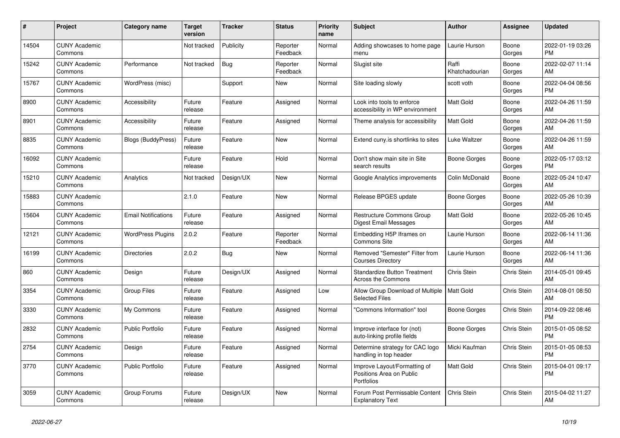| $\#$  | Project                         | <b>Category name</b>       | <b>Target</b><br>version | <b>Tracker</b> | <b>Status</b>        | <b>Priority</b><br>name | <b>Subject</b>                                                         | <b>Author</b>           | <b>Assignee</b> | <b>Updated</b>                |
|-------|---------------------------------|----------------------------|--------------------------|----------------|----------------------|-------------------------|------------------------------------------------------------------------|-------------------------|-----------------|-------------------------------|
| 14504 | <b>CUNY Academic</b><br>Commons |                            | Not tracked              | Publicity      | Reporter<br>Feedback | Normal                  | Adding showcases to home page<br>menu                                  | Laurie Hurson           | Boone<br>Gorges | 2022-01-19 03:26<br><b>PM</b> |
| 15242 | <b>CUNY Academic</b><br>Commons | Performance                | Not tracked              | Bug            | Reporter<br>Feedback | Normal                  | Slugist site                                                           | Raffi<br>Khatchadourian | Boone<br>Gorges | 2022-02-07 11:14<br>AM        |
| 15767 | <b>CUNY Academic</b><br>Commons | WordPress (misc)           |                          | Support        | New                  | Normal                  | Site loading slowly                                                    | scott voth              | Boone<br>Gorges | 2022-04-04 08:56<br><b>PM</b> |
| 8900  | <b>CUNY Academic</b><br>Commons | Accessibility              | Future<br>release        | Feature        | Assigned             | Normal                  | Look into tools to enforce<br>accessibility in WP environment          | <b>Matt Gold</b>        | Boone<br>Gorges | 2022-04-26 11:59<br>AM        |
| 8901  | <b>CUNY Academic</b><br>Commons | Accessibility              | Future<br>release        | Feature        | Assigned             | Normal                  | Theme analysis for accessibility                                       | <b>Matt Gold</b>        | Boone<br>Gorges | 2022-04-26 11:59<br>AM        |
| 8835  | <b>CUNY Academic</b><br>Commons | Blogs (BuddyPress)         | Future<br>release        | Feature        | <b>New</b>           | Normal                  | Extend cuny.is shortlinks to sites                                     | Luke Waltzer            | Boone<br>Gorges | 2022-04-26 11:59<br>AM        |
| 16092 | <b>CUNY Academic</b><br>Commons |                            | Future<br>release        | Feature        | Hold                 | Normal                  | Don't show main site in Site<br>search results                         | Boone Gorges            | Boone<br>Gorges | 2022-05-17 03:12<br><b>PM</b> |
| 15210 | <b>CUNY Academic</b><br>Commons | Analytics                  | Not tracked              | Design/UX      | <b>New</b>           | Normal                  | Google Analytics improvements                                          | Colin McDonald          | Boone<br>Gorges | 2022-05-24 10:47<br>AM        |
| 15883 | <b>CUNY Academic</b><br>Commons |                            | 2.1.0                    | Feature        | <b>New</b>           | Normal                  | Release BPGES update                                                   | Boone Gorges            | Boone<br>Gorges | 2022-05-26 10:39<br>AM        |
| 15604 | <b>CUNY Academic</b><br>Commons | <b>Email Notifications</b> | Future<br>release        | Feature        | Assigned             | Normal                  | Restructure Commons Group<br>Digest Email Messages                     | <b>Matt Gold</b>        | Boone<br>Gorges | 2022-05-26 10:45<br>AM        |
| 12121 | <b>CUNY Academic</b><br>Commons | <b>WordPress Plugins</b>   | 2.0.2                    | Feature        | Reporter<br>Feedback | Normal                  | Embedding H5P Iframes on<br>Commons Site                               | Laurie Hurson           | Boone<br>Gorges | 2022-06-14 11:36<br>AM        |
| 16199 | <b>CUNY Academic</b><br>Commons | <b>Directories</b>         | 2.0.2                    | <b>Bug</b>     | New                  | Normal                  | Removed "Semester" Filter from<br><b>Courses Directory</b>             | Laurie Hurson           | Boone<br>Gorges | 2022-06-14 11:36<br>AM        |
| 860   | <b>CUNY Academic</b><br>Commons | Design                     | Future<br>release        | Design/UX      | Assigned             | Normal                  | <b>Standardize Button Treatment</b><br>Across the Commons              | Chris Stein             | Chris Stein     | 2014-05-01 09:45<br>AM        |
| 3354  | <b>CUNY Academic</b><br>Commons | <b>Group Files</b>         | Future<br>release        | Feature        | Assigned             | Low                     | Allow Group Download of Multiple<br><b>Selected Files</b>              | <b>Matt Gold</b>        | Chris Stein     | 2014-08-01 08:50<br>AM        |
| 3330  | <b>CUNY Academic</b><br>Commons | My Commons                 | Future<br>release        | Feature        | Assigned             | Normal                  | 'Commons Information" tool                                             | Boone Gorges            | Chris Stein     | 2014-09-22 08:46<br><b>PM</b> |
| 2832  | <b>CUNY Academic</b><br>Commons | <b>Public Portfolio</b>    | Future<br>release        | Feature        | Assigned             | Normal                  | Improve interface for (not)<br>auto-linking profile fields             | Boone Gorges            | Chris Stein     | 2015-01-05 08:52<br><b>PM</b> |
| 2754  | <b>CUNY Academic</b><br>Commons | Design                     | Future<br>release        | Feature        | Assigned             | Normal                  | Determine strategy for CAC logo<br>handling in top header              | Micki Kaufman           | Chris Stein     | 2015-01-05 08:53<br><b>PM</b> |
| 3770  | <b>CUNY Academic</b><br>Commons | Public Portfolio           | Future<br>release        | Feature        | Assigned             | Normal                  | Improve Layout/Formatting of<br>Positions Area on Public<br>Portfolios | Matt Gold               | Chris Stein     | 2015-04-01 09:17<br><b>PM</b> |
| 3059  | <b>CUNY Academic</b><br>Commons | Group Forums               | Future<br>release        | Design/UX      | <b>New</b>           | Normal                  | Forum Post Permissable Content<br><b>Explanatory Text</b>              | Chris Stein             | Chris Stein     | 2015-04-02 11:27<br>AM        |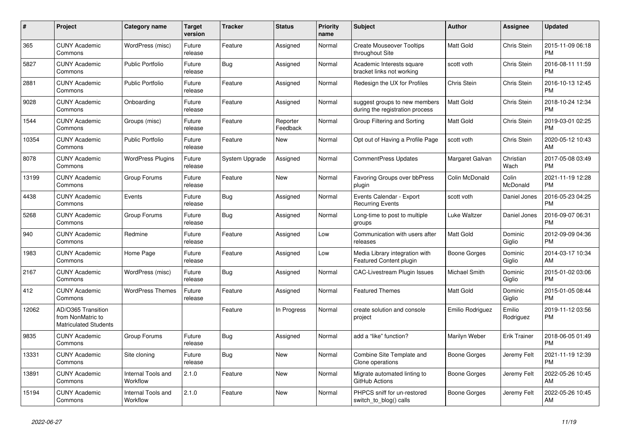| #     | Project                                                                 | Category name                  | <b>Target</b><br>version | <b>Tracker</b> | <b>Status</b>        | <b>Priority</b><br>name | <b>Subject</b>                                                   | <b>Author</b>        | <b>Assignee</b>     | <b>Updated</b>                |
|-------|-------------------------------------------------------------------------|--------------------------------|--------------------------|----------------|----------------------|-------------------------|------------------------------------------------------------------|----------------------|---------------------|-------------------------------|
| 365   | <b>CUNY Academic</b><br>Commons                                         | WordPress (misc)               | Future<br>release        | Feature        | Assigned             | Normal                  | <b>Create Mouseover Tooltips</b><br>throughout Site              | Matt Gold            | Chris Stein         | 2015-11-09 06:18<br><b>PM</b> |
| 5827  | <b>CUNY Academic</b><br>Commons                                         | <b>Public Portfolio</b>        | Future<br>release        | Bug            | Assigned             | Normal                  | Academic Interests square<br>bracket links not working           | scott voth           | Chris Stein         | 2016-08-11 11:59<br><b>PM</b> |
| 2881  | <b>CUNY Academic</b><br>Commons                                         | <b>Public Portfolio</b>        | Future<br>release        | Feature        | Assigned             | Normal                  | Redesign the UX for Profiles                                     | <b>Chris Stein</b>   | Chris Stein         | 2016-10-13 12:45<br><b>PM</b> |
| 9028  | <b>CUNY Academic</b><br>Commons                                         | Onboarding                     | Future<br>release        | Feature        | Assigned             | Normal                  | suggest groups to new members<br>during the registration process | <b>Matt Gold</b>     | Chris Stein         | 2018-10-24 12:34<br><b>PM</b> |
| 1544  | <b>CUNY Academic</b><br>Commons                                         | Groups (misc)                  | Future<br>release        | Feature        | Reporter<br>Feedback | Normal                  | Group Filtering and Sorting                                      | Matt Gold            | Chris Stein         | 2019-03-01 02:25<br><b>PM</b> |
| 10354 | <b>CUNY Academic</b><br>Commons                                         | <b>Public Portfolio</b>        | Future<br>release        | Feature        | <b>New</b>           | Normal                  | Opt out of Having a Profile Page                                 | scott voth           | Chris Stein         | 2020-05-12 10:43<br>AM        |
| 8078  | <b>CUNY Academic</b><br>Commons                                         | <b>WordPress Plugins</b>       | Future<br>release        | System Upgrade | Assigned             | Normal                  | <b>CommentPress Updates</b>                                      | Margaret Galvan      | Christian<br>Wach   | 2017-05-08 03:49<br><b>PM</b> |
| 13199 | <b>CUNY Academic</b><br>Commons                                         | Group Forums                   | Future<br>release        | Feature        | <b>New</b>           | Normal                  | <b>Favoring Groups over bbPress</b><br>plugin                    | Colin McDonald       | Colin<br>McDonald   | 2021-11-19 12:28<br><b>PM</b> |
| 4438  | <b>CUNY Academic</b><br>Commons                                         | Events                         | Future<br>release        | <b>Bug</b>     | Assigned             | Normal                  | Events Calendar - Export<br><b>Recurring Events</b>              | scott voth           | Daniel Jones        | 2016-05-23 04:25<br><b>PM</b> |
| 5268  | <b>CUNY Academic</b><br>Commons                                         | Group Forums                   | Future<br>release        | Bug            | Assigned             | Normal                  | Long-time to post to multiple<br>groups                          | Luke Waltzer         | Daniel Jones        | 2016-09-07 06:31<br><b>PM</b> |
| 940   | <b>CUNY Academic</b><br>Commons                                         | Redmine                        | Future<br>release        | Feature        | Assigned             | Low                     | Communication with users after<br>releases                       | Matt Gold            | Dominic<br>Giglio   | 2012-09-09 04:36<br><b>PM</b> |
| 1983  | <b>CUNY Academic</b><br>Commons                                         | Home Page                      | Future<br>release        | Feature        | Assigned             | Low                     | Media Library integration with<br><b>Featured Content plugin</b> | Boone Gorges         | Dominic<br>Giglio   | 2014-03-17 10:34<br>AM        |
| 2167  | <b>CUNY Academic</b><br>Commons                                         | WordPress (misc)               | Future<br>release        | <b>Bug</b>     | Assigned             | Normal                  | <b>CAC-Livestream Plugin Issues</b>                              | <b>Michael Smith</b> | Dominic<br>Giglio   | 2015-01-02 03:06<br><b>PM</b> |
| 412   | <b>CUNY Academic</b><br>Commons                                         | <b>WordPress Themes</b>        | Future<br>release        | Feature        | Assigned             | Normal                  | <b>Featured Themes</b>                                           | <b>Matt Gold</b>     | Dominic<br>Giglio   | 2015-01-05 08:44<br><b>PM</b> |
| 12062 | AD/O365 Transition<br>from NonMatric to<br><b>Matriculated Students</b> |                                |                          | Feature        | In Progress          | Normal                  | create solution and console<br>project                           | Emilio Rodriguez     | Emilio<br>Rodriguez | 2019-11-12 03:56<br><b>PM</b> |
| 9835  | <b>CUNY Academic</b><br>Commons                                         | Group Forums                   | Future<br>release        | Bug            | Assigned             | Normal                  | add a "like" function?                                           | Marilyn Weber        | <b>Erik Trainer</b> | 2018-06-05 01:49<br><b>PM</b> |
| 13331 | <b>CUNY Academic</b><br>Commons                                         | Site cloning                   | Future<br>release        | Bug            | <b>New</b>           | Normal                  | Combine Site Template and<br>Clone operations                    | <b>Boone Gorges</b>  | Jeremy Felt         | 2021-11-19 12:39<br><b>PM</b> |
| 13891 | <b>CUNY Academic</b><br>Commons                                         | Internal Tools and<br>Workflow | 2.1.0                    | Feature        | New                  | Normal                  | Migrate automated linting to<br>GitHub Actions                   | Boone Gorges         | Jeremy Felt         | 2022-05-26 10:45<br>AM        |
| 15194 | <b>CUNY Academic</b><br>Commons                                         | Internal Tools and<br>Workflow | 2.1.0                    | Feature        | <b>New</b>           | Normal                  | PHPCS sniff for un-restored<br>switch_to_blog() calls            | Boone Gorges         | Jeremy Felt         | 2022-05-26 10:45<br>AM        |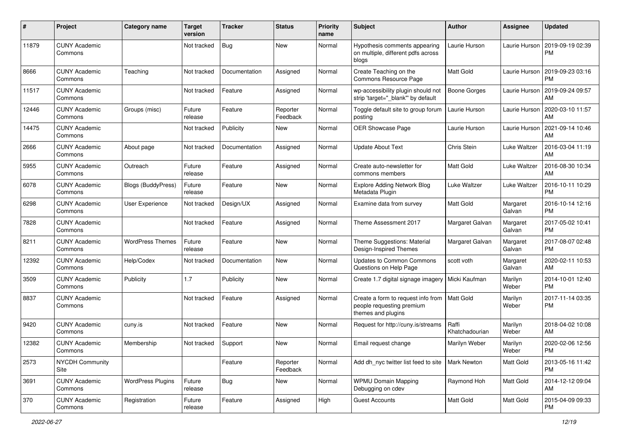| #     | Project                         | <b>Category name</b>      | <b>Target</b><br>version | <b>Tracker</b> | <b>Status</b>        | <b>Priority</b><br>name | Subject                                                                                           | Author                  | <b>Assignee</b>    | <b>Updated</b>                |
|-------|---------------------------------|---------------------------|--------------------------|----------------|----------------------|-------------------------|---------------------------------------------------------------------------------------------------|-------------------------|--------------------|-------------------------------|
| 11879 | <b>CUNY Academic</b><br>Commons |                           | Not tracked              | <b>Bug</b>     | New                  | Normal                  | Hypothesis comments appearing<br>on multiple, different pdfs across<br>blogs                      | Laurie Hurson           | Laurie Hurson      | 2019-09-19 02:39<br><b>PM</b> |
| 8666  | <b>CUNY Academic</b><br>Commons | Teaching                  | Not tracked              | Documentation  | Assigned             | Normal                  | Create Teaching on the<br>Commons Resource Page                                                   | <b>Matt Gold</b>        | Laurie Hurson      | 2019-09-23 03:16<br><b>PM</b> |
| 11517 | <b>CUNY Academic</b><br>Commons |                           | Not tracked              | Feature        | Assigned             | Normal                  | wp-accessibility plugin should not<br>strip 'target="_blank"' by default                          | <b>Boone Gorges</b>     | Laurie Hurson      | 2019-09-24 09:57<br>AM        |
| 12446 | <b>CUNY Academic</b><br>Commons | Groups (misc)             | Future<br>release        | Feature        | Reporter<br>Feedback | Normal                  | Toggle default site to group forum<br>posting                                                     | Laurie Hurson           | Laurie Hurson      | 2020-03-10 11:57<br>AM        |
| 14475 | <b>CUNY Academic</b><br>Commons |                           | Not tracked              | Publicity      | New                  | Normal                  | OER Showcase Page                                                                                 | Laurie Hurson           | Laurie Hurson      | 2021-09-14 10:46<br>AM        |
| 2666  | <b>CUNY Academic</b><br>Commons | About page                | Not tracked              | Documentation  | Assigned             | Normal                  | <b>Update About Text</b>                                                                          | Chris Stein             | Luke Waltzer       | 2016-03-04 11:19<br>AM        |
| 5955  | <b>CUNY Academic</b><br>Commons | Outreach                  | Future<br>release        | Feature        | Assigned             | Normal                  | Create auto-newsletter for<br>commons members                                                     | <b>Matt Gold</b>        | Luke Waltzer       | 2016-08-30 10:34<br>AM        |
| 6078  | <b>CUNY Academic</b><br>Commons | <b>Blogs (BuddyPress)</b> | Future<br>release        | Feature        | New                  | Normal                  | <b>Explore Adding Network Blog</b><br>Metadata Plugin                                             | Luke Waltzer            | Luke Waltzer       | 2016-10-11 10:29<br><b>PM</b> |
| 6298  | <b>CUNY Academic</b><br>Commons | User Experience           | Not tracked              | Design/UX      | Assigned             | Normal                  | Examine data from survey                                                                          | <b>Matt Gold</b>        | Margaret<br>Galvan | 2016-10-14 12:16<br><b>PM</b> |
| 7828  | <b>CUNY Academic</b><br>Commons |                           | Not tracked              | Feature        | Assigned             | Normal                  | Theme Assessment 2017                                                                             | Margaret Galvan         | Margaret<br>Galvan | 2017-05-02 10:41<br><b>PM</b> |
| 8211  | <b>CUNY Academic</b><br>Commons | <b>WordPress Themes</b>   | Future<br>release        | Feature        | New                  | Normal                  | Theme Suggestions: Material<br>Design-Inspired Themes                                             | Margaret Galvan         | Margaret<br>Galvan | 2017-08-07 02:48<br><b>PM</b> |
| 12392 | <b>CUNY Academic</b><br>Commons | Help/Codex                | Not tracked              | Documentation  | New                  | Normal                  | <b>Updates to Common Commons</b><br>Questions on Help Page                                        | scott voth              | Margaret<br>Galvan | 2020-02-11 10:53<br>AM        |
| 3509  | <b>CUNY Academic</b><br>Commons | Publicity                 | 1.7                      | Publicity      | New                  | Normal                  | Create 1.7 digital signage imagery                                                                | Micki Kaufman           | Marilyn<br>Weber   | 2014-10-01 12:40<br><b>PM</b> |
| 8837  | <b>CUNY Academic</b><br>Commons |                           | Not tracked              | Feature        | Assigned             | Normal                  | Create a form to request info from   Matt Gold<br>people requesting premium<br>themes and plugins |                         | Marilyn<br>Weber   | 2017-11-14 03:35<br><b>PM</b> |
| 9420  | <b>CUNY Academic</b><br>Commons | cuny.is                   | Not tracked              | Feature        | New                  | Normal                  | Request for http://cuny.is/streams                                                                | Raffi<br>Khatchadourian | Marilyn<br>Weber   | 2018-04-02 10:08<br>AM        |
| 12382 | <b>CUNY Academic</b><br>Commons | Membership                | Not tracked              | Support        | New                  | Normal                  | Email request change                                                                              | Marilyn Weber           | Marilyn<br>Weber   | 2020-02-06 12:56<br>PM        |
| 2573  | <b>NYCDH Community</b><br>Site  |                           |                          | Feature        | Reporter<br>Feedback | Normal                  | Add dh nyc twitter list feed to site   Mark Newton                                                |                         | Matt Gold          | 2013-05-16 11:42<br><b>PM</b> |
| 3691  | <b>CUNY Academic</b><br>Commons | <b>WordPress Plugins</b>  | Future<br>release        | <b>Bug</b>     | New                  | Normal                  | <b>WPMU Domain Mapping</b><br>Debugging on cdev                                                   | Raymond Hoh             | Matt Gold          | 2014-12-12 09:04<br>AM        |
| 370   | <b>CUNY Academic</b><br>Commons | Registration              | Future<br>release        | Feature        | Assigned             | High                    | <b>Guest Accounts</b>                                                                             | Matt Gold               | Matt Gold          | 2015-04-09 09:33<br><b>PM</b> |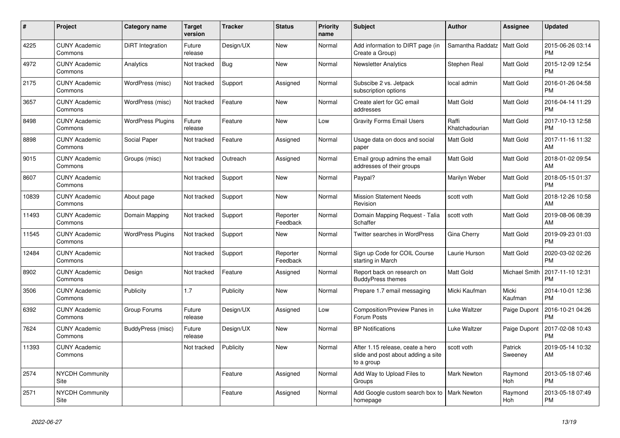| $\#$  | Project                         | <b>Category name</b>     | <b>Target</b><br>version | <b>Tracker</b> | <b>Status</b>        | <b>Priority</b><br>name | <b>Subject</b>                                                                       | <b>Author</b>           | Assignee           | <b>Updated</b>                |
|-------|---------------------------------|--------------------------|--------------------------|----------------|----------------------|-------------------------|--------------------------------------------------------------------------------------|-------------------------|--------------------|-------------------------------|
| 4225  | <b>CUNY Academic</b><br>Commons | DiRT Integration         | Future<br>release        | Design/UX      | <b>New</b>           | Normal                  | Add information to DIRT page (in<br>Create a Group)                                  | Samantha Raddatz        | Matt Gold          | 2015-06-26 03:14<br><b>PM</b> |
| 4972  | <b>CUNY Academic</b><br>Commons | Analytics                | Not tracked              | Bug            | <b>New</b>           | Normal                  | <b>Newsletter Analytics</b>                                                          | Stephen Real            | Matt Gold          | 2015-12-09 12:54<br><b>PM</b> |
| 2175  | <b>CUNY Academic</b><br>Commons | WordPress (misc)         | Not tracked              | Support        | Assigned             | Normal                  | Subscibe 2 vs. Jetpack<br>subscription options                                       | local admin             | Matt Gold          | 2016-01-26 04:58<br><b>PM</b> |
| 3657  | <b>CUNY Academic</b><br>Commons | WordPress (misc)         | Not tracked              | Feature        | <b>New</b>           | Normal                  | Create alert for GC email<br>addresses                                               | <b>Matt Gold</b>        | <b>Matt Gold</b>   | 2016-04-14 11:29<br><b>PM</b> |
| 8498  | <b>CUNY Academic</b><br>Commons | <b>WordPress Plugins</b> | Future<br>release        | Feature        | New                  | Low                     | <b>Gravity Forms Email Users</b>                                                     | Raffi<br>Khatchadourian | Matt Gold          | 2017-10-13 12:58<br><b>PM</b> |
| 8898  | <b>CUNY Academic</b><br>Commons | Social Paper             | Not tracked              | Feature        | Assigned             | Normal                  | Usage data on docs and social<br>paper                                               | Matt Gold               | Matt Gold          | 2017-11-16 11:32<br>AM        |
| 9015  | <b>CUNY Academic</b><br>Commons | Groups (misc)            | Not tracked              | Outreach       | Assigned             | Normal                  | Email group admins the email<br>addresses of their groups                            | <b>Matt Gold</b>        | <b>Matt Gold</b>   | 2018-01-02 09:54<br>AM        |
| 8607  | <b>CUNY Academic</b><br>Commons |                          | Not tracked              | Support        | <b>New</b>           | Normal                  | Paypal?                                                                              | Marilyn Weber           | Matt Gold          | 2018-05-15 01:37<br><b>PM</b> |
| 10839 | <b>CUNY Academic</b><br>Commons | About page               | Not tracked              | Support        | <b>New</b>           | Normal                  | <b>Mission Statement Needs</b><br>Revision                                           | scott voth              | Matt Gold          | 2018-12-26 10:58<br>AM        |
| 11493 | <b>CUNY Academic</b><br>Commons | Domain Mapping           | Not tracked              | Support        | Reporter<br>Feedback | Normal                  | Domain Mapping Request - Talia<br>Schaffer                                           | scott voth              | <b>Matt Gold</b>   | 2019-08-06 08:39<br>AM        |
| 11545 | <b>CUNY Academic</b><br>Commons | <b>WordPress Plugins</b> | Not tracked              | Support        | New                  | Normal                  | <b>Twitter searches in WordPress</b>                                                 | Gina Cherry             | <b>Matt Gold</b>   | 2019-09-23 01:03<br><b>PM</b> |
| 12484 | <b>CUNY Academic</b><br>Commons |                          | Not tracked              | Support        | Reporter<br>Feedback | Normal                  | Sign up Code for COIL Course<br>starting in March                                    | Laurie Hurson           | Matt Gold          | 2020-03-02 02:26<br><b>PM</b> |
| 8902  | <b>CUNY Academic</b><br>Commons | Design                   | Not tracked              | Feature        | Assigned             | Normal                  | Report back on research on<br><b>BuddyPress themes</b>                               | <b>Matt Gold</b>        | Michael Smith      | 2017-11-10 12:31<br><b>PM</b> |
| 3506  | <b>CUNY Academic</b><br>Commons | Publicity                | 1.7                      | Publicity      | <b>New</b>           | Normal                  | Prepare 1.7 email messaging                                                          | Micki Kaufman           | Micki<br>Kaufman   | 2014-10-01 12:36<br><b>PM</b> |
| 6392  | <b>CUNY Academic</b><br>Commons | Group Forums             | Future<br>release        | Design/UX      | Assigned             | Low                     | Composition/Preview Panes in<br>Forum Posts                                          | Luke Waltzer            | Paige Dupont       | 2016-10-21 04:26<br><b>PM</b> |
| 7624  | <b>CUNY Academic</b><br>Commons | BuddyPress (misc)        | Future<br>release        | Design/UX      | <b>New</b>           | Normal                  | <b>BP</b> Notifications                                                              | Luke Waltzer            | Paige Dupont       | 2017-02-08 10:43<br><b>PM</b> |
| 11393 | <b>CUNY Academic</b><br>Commons |                          | Not tracked              | Publicity      | <b>New</b>           | Normal                  | After 1.15 release, ceate a hero<br>slide and post about adding a site<br>to a group | scott voth              | Patrick<br>Sweeney | 2019-05-14 10:32<br>AM        |
| 2574  | <b>NYCDH Community</b><br>Site  |                          |                          | Feature        | Assigned             | Normal                  | Add Way to Upload Files to<br>Groups                                                 | Mark Newton             | Raymond<br>Hoh     | 2013-05-18 07:46<br><b>PM</b> |
| 2571  | <b>NYCDH Community</b><br>Site  |                          |                          | Feature        | Assigned             | Normal                  | Add Google custom search box to<br>homepage                                          | <b>Mark Newton</b>      | Raymond<br>Hoh     | 2013-05-18 07:49<br><b>PM</b> |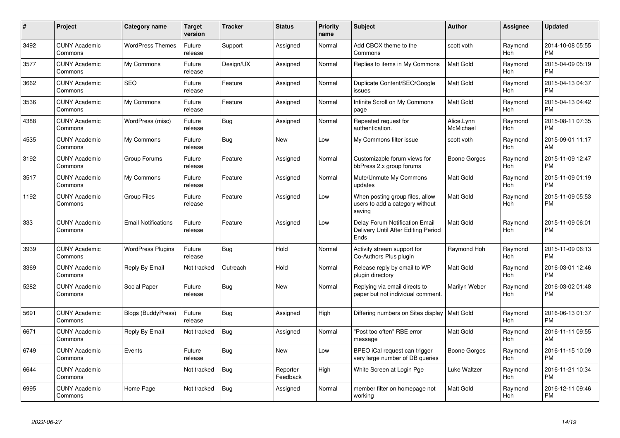| #    | Project                         | <b>Category name</b>       | <b>Target</b><br>version | <b>Tracker</b> | <b>Status</b>        | <b>Priority</b><br>name | <b>Subject</b>                                                                | <b>Author</b>           | <b>Assignee</b>       | <b>Updated</b>                |
|------|---------------------------------|----------------------------|--------------------------|----------------|----------------------|-------------------------|-------------------------------------------------------------------------------|-------------------------|-----------------------|-------------------------------|
| 3492 | <b>CUNY Academic</b><br>Commons | <b>WordPress Themes</b>    | Future<br>release        | Support        | Assigned             | Normal                  | Add CBOX theme to the<br>Commons                                              | scott voth              | Raymond<br><b>Hoh</b> | 2014-10-08 05:55<br><b>PM</b> |
| 3577 | <b>CUNY Academic</b><br>Commons | My Commons                 | Future<br>release        | Design/UX      | Assigned             | Normal                  | Replies to items in My Commons                                                | Matt Gold               | Raymond<br><b>Hoh</b> | 2015-04-09 05:19<br><b>PM</b> |
| 3662 | <b>CUNY Academic</b><br>Commons | <b>SEO</b>                 | Future<br>release        | Feature        | Assigned             | Normal                  | Duplicate Content/SEO/Google<br>issues                                        | Matt Gold               | Raymond<br>Hoh        | 2015-04-13 04:37<br><b>PM</b> |
| 3536 | <b>CUNY Academic</b><br>Commons | My Commons                 | Future<br>release        | Feature        | Assigned             | Normal                  | Infinite Scroll on My Commons<br>page                                         | Matt Gold               | Raymond<br>Hoh        | 2015-04-13 04:42<br><b>PM</b> |
| 4388 | <b>CUNY Academic</b><br>Commons | WordPress (misc)           | Future<br>release        | Bug            | Assigned             | Normal                  | Repeated request for<br>authentication.                                       | Alice.Lynn<br>McMichael | Raymond<br>Hoh        | 2015-08-11 07:35<br>PМ        |
| 4535 | <b>CUNY Academic</b><br>Commons | My Commons                 | Future<br>release        | Bug            | <b>New</b>           | Low                     | My Commons filter issue                                                       | scott voth              | Raymond<br>Hoh        | 2015-09-01 11:17<br>AM        |
| 3192 | <b>CUNY Academic</b><br>Commons | Group Forums               | Future<br>release        | Feature        | Assigned             | Normal                  | Customizable forum views for<br>bbPress 2.x group forums                      | Boone Gorges            | Raymond<br>Hoh        | 2015-11-09 12:47<br><b>PM</b> |
| 3517 | <b>CUNY Academic</b><br>Commons | My Commons                 | Future<br>release        | Feature        | Assigned             | Normal                  | Mute/Unmute My Commons<br>updates                                             | Matt Gold               | Raymond<br>Hoh        | 2015-11-09 01:19<br><b>PM</b> |
| 1192 | <b>CUNY Academic</b><br>Commons | <b>Group Files</b>         | Future<br>release        | Feature        | Assigned             | Low                     | When posting group files, allow<br>users to add a category without<br>saving  | Matt Gold               | Raymond<br>Hoh        | 2015-11-09 05:53<br><b>PM</b> |
| 333  | <b>CUNY Academic</b><br>Commons | <b>Email Notifications</b> | Future<br>release        | Feature        | Assigned             | Low                     | Delay Forum Notification Email<br>Delivery Until After Editing Period<br>Ends | Matt Gold               | Raymond<br><b>Hoh</b> | 2015-11-09 06:01<br><b>PM</b> |
| 3939 | <b>CUNY Academic</b><br>Commons | <b>WordPress Plugins</b>   | Future<br>release        | <b>Bug</b>     | Hold                 | Normal                  | Activity stream support for<br>Co-Authors Plus plugin                         | Raymond Hoh             | Raymond<br><b>Hoh</b> | 2015-11-09 06:13<br><b>PM</b> |
| 3369 | <b>CUNY Academic</b><br>Commons | Reply By Email             | Not tracked              | Outreach       | Hold                 | Normal                  | Release reply by email to WP<br>plugin directory                              | Matt Gold               | Raymond<br><b>Hoh</b> | 2016-03-01 12:46<br><b>PM</b> |
| 5282 | <b>CUNY Academic</b><br>Commons | Social Paper               | Future<br>release        | Bug            | <b>New</b>           | Normal                  | Replying via email directs to<br>paper but not individual comment.            | Marilyn Weber           | Raymond<br>Hoh        | 2016-03-02 01:48<br><b>PM</b> |
| 5691 | <b>CUNY Academic</b><br>Commons | <b>Blogs (BuddyPress)</b>  | Future<br>release        | Bug            | Assigned             | High                    | Differing numbers on Sites display                                            | Matt Gold               | Raymond<br>Hoh        | 2016-06-13 01:37<br><b>PM</b> |
| 6671 | <b>CUNY Academic</b><br>Commons | Reply By Email             | Not tracked              | Bug            | Assigned             | Normal                  | 'Post too often" RBE error<br>message                                         | Matt Gold               | Raymond<br>Hoh        | 2016-11-11 09:55<br>AM        |
| 6749 | <b>CUNY Academic</b><br>Commons | Events                     | Future<br>release        | <b>Bug</b>     | <b>New</b>           | Low                     | BPEO iCal request can trigger<br>very large number of DB queries              | <b>Boone Gorges</b>     | Raymond<br>Hoh        | 2016-11-15 10:09<br><b>PM</b> |
| 6644 | <b>CUNY Academic</b><br>Commons |                            | Not tracked              | <b>Bug</b>     | Reporter<br>Feedback | High                    | White Screen at Login Pge                                                     | Luke Waltzer            | Raymond<br><b>Hoh</b> | 2016-11-21 10:34<br><b>PM</b> |
| 6995 | <b>CUNY Academic</b><br>Commons | Home Page                  | Not tracked              | <b>Bug</b>     | Assigned             | Normal                  | member filter on homepage not<br>working                                      | Matt Gold               | Raymond<br>Hoh        | 2016-12-11 09:46<br><b>PM</b> |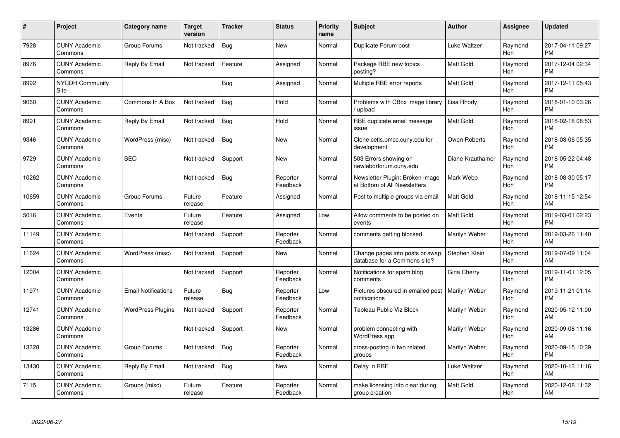| #     | Project                         | <b>Category name</b>       | <b>Target</b><br>version | <b>Tracker</b> | <b>Status</b>        | <b>Priority</b><br>name | <b>Subject</b>                                                  | <b>Author</b>    | <b>Assignee</b>       | Updated                       |
|-------|---------------------------------|----------------------------|--------------------------|----------------|----------------------|-------------------------|-----------------------------------------------------------------|------------------|-----------------------|-------------------------------|
| 7928  | <b>CUNY Academic</b><br>Commons | Group Forums               | Not tracked              | Bug            | <b>New</b>           | Normal                  | Duplicate Forum post                                            | Luke Waltzer     | Raymond<br>Hoh        | 2017-04-11 09:27<br><b>PM</b> |
| 8976  | <b>CUNY Academic</b><br>Commons | Reply By Email             | Not tracked              | Feature        | Assigned             | Normal                  | Package RBE new topics<br>posting?                              | <b>Matt Gold</b> | Raymond<br>Hoh        | 2017-12-04 02:34<br><b>PM</b> |
| 8992  | <b>NYCDH Community</b><br>Site  |                            |                          | Bug            | Assigned             | Normal                  | Multiple RBE error reports                                      | Matt Gold        | Raymond<br><b>Hoh</b> | 2017-12-11 05:43<br>PM        |
| 9060  | <b>CUNY Academic</b><br>Commons | Commons In A Box           | Not tracked              | <b>Bug</b>     | Hold                 | Normal                  | Problems with CBox image library<br>upload                      | Lisa Rhody       | Raymond<br>Hoh        | 2018-01-10 03:26<br>PM        |
| 8991  | <b>CUNY Academic</b><br>Commons | Reply By Email             | Not tracked              | Bug            | Hold                 | Normal                  | RBE duplicate email message<br>issue                            | Matt Gold        | Raymond<br><b>Hoh</b> | 2018-02-18 08:53<br><b>PM</b> |
| 9346  | <b>CUNY Academic</b><br>Commons | WordPress (misc)           | Not tracked              | Bug            | New                  | Normal                  | Clone cetls.bmcc.cuny.edu for<br>development                    | Owen Roberts     | Raymond<br><b>Hoh</b> | 2018-03-06 05:35<br>PM        |
| 9729  | <b>CUNY Academic</b><br>Commons | <b>SEO</b>                 | Not tracked              | Support        | <b>New</b>           | Normal                  | 503 Errors showing on<br>newlaborforum.cuny.edu                 | Diane Krauthamer | Raymond<br>Hoh        | 2018-05-22 04:48<br><b>PM</b> |
| 10262 | <b>CUNY Academic</b><br>Commons |                            | Not tracked              | Bug            | Reporter<br>Feedback | Normal                  | Newsletter Plugin: Broken Image<br>at Bottom of All Newsletters | Mark Webb        | Raymond<br><b>Hoh</b> | 2018-08-30 05:17<br><b>PM</b> |
| 10659 | <b>CUNY Academic</b><br>Commons | Group Forums               | Future<br>release        | Feature        | Assigned             | Normal                  | Post to multiple groups via email                               | Matt Gold        | Raymond<br>Hoh        | 2018-11-15 12:54<br>AM        |
| 5016  | <b>CUNY Academic</b><br>Commons | Events                     | Future<br>release        | Feature        | Assigned             | Low                     | Allow comments to be posted on<br>events                        | Matt Gold        | Raymond<br>Hoh        | 2019-03-01 02:23<br><b>PM</b> |
| 11149 | <b>CUNY Academic</b><br>Commons |                            | Not tracked              | Support        | Reporter<br>Feedback | Normal                  | comments getting blocked                                        | Marilyn Weber    | Raymond<br><b>Hoh</b> | 2019-03-26 11:40<br>AM        |
| 11624 | <b>CUNY Academic</b><br>Commons | WordPress (misc)           | Not tracked              | Support        | <b>New</b>           | Normal                  | Change pages into posts or swap<br>database for a Commons site? | Stephen Klein    | Raymond<br>Hoh        | 2019-07-09 11:04<br>AM        |
| 12004 | <b>CUNY Academic</b><br>Commons |                            | Not tracked              | Support        | Reporter<br>Feedback | Normal                  | Notifications for spam blog<br>comments                         | Gina Cherry      | Raymond<br>Hoh        | 2019-11-01 12:05<br><b>PM</b> |
| 11971 | <b>CUNY Academic</b><br>Commons | <b>Email Notifications</b> | Future<br>release        | Bug            | Reporter<br>Feedback | Low                     | Pictures obscured in emailed post<br>notifications              | Marilyn Weber    | Raymond<br><b>Hoh</b> | 2019-11-21 01:14<br>PМ        |
| 12741 | <b>CUNY Academic</b><br>Commons | <b>WordPress Plugins</b>   | Not tracked              | Support        | Reporter<br>Feedback | Normal                  | Tableau Public Viz Block                                        | Marilyn Weber    | Raymond<br><b>Hoh</b> | 2020-05-12 11:00<br>AM        |
| 13286 | <b>CUNY Academic</b><br>Commons |                            | Not tracked              | Support        | <b>New</b>           | Normal                  | problem connecting with<br>WordPress app                        | Marilyn Weber    | Raymond<br>Hoh        | 2020-09-08 11:16<br>AM        |
| 13328 | <b>CUNY Academic</b><br>Commons | Group Forums               | Not tracked              | Bug            | Reporter<br>Feedback | Normal                  | cross-posting in two related<br>groups                          | Marilyn Weber    | Raymond<br>Hoh        | 2020-09-15 10:39<br><b>PM</b> |
| 13430 | <b>CUNY Academic</b><br>Commons | Reply By Email             | Not tracked              | Bug            | New                  | Normal                  | Delay in RBE                                                    | Luke Waltzer     | Raymond<br><b>Hoh</b> | 2020-10-13 11:16<br>AM        |
| 7115  | <b>CUNY Academic</b><br>Commons | Groups (misc)              | Future<br>release        | Feature        | Reporter<br>Feedback | Normal                  | make licensing info clear during<br>group creation              | Matt Gold        | Raymond<br>Hoh        | 2020-12-08 11:32<br>AM        |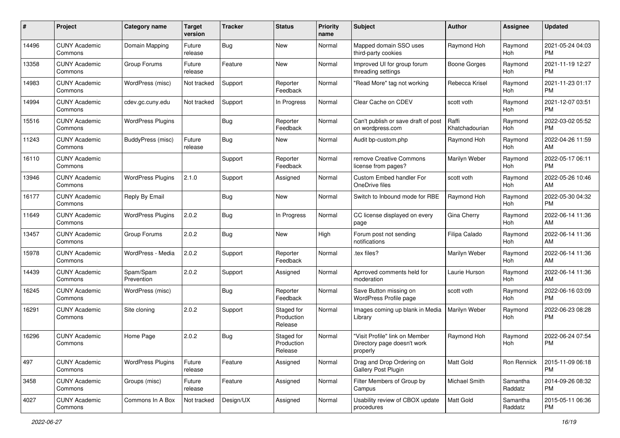| #     | Project                         | <b>Category name</b>     | <b>Target</b><br>version | <b>Tracker</b> | <b>Status</b>                       | <b>Priority</b><br>name | Subject                                                                   | Author                  | <b>Assignee</b>       | <b>Updated</b>                |
|-------|---------------------------------|--------------------------|--------------------------|----------------|-------------------------------------|-------------------------|---------------------------------------------------------------------------|-------------------------|-----------------------|-------------------------------|
| 14496 | <b>CUNY Academic</b><br>Commons | Domain Mapping           | Future<br>release        | <b>Bug</b>     | New                                 | Normal                  | Mapped domain SSO uses<br>third-party cookies                             | Raymond Hoh             | Raymond<br><b>Hoh</b> | 2021-05-24 04:03<br>PM        |
| 13358 | <b>CUNY Academic</b><br>Commons | Group Forums             | Future<br>release        | Feature        | New                                 | Normal                  | Improved UI for group forum<br>threading settings                         | <b>Boone Gorges</b>     | Raymond<br>Hoh        | 2021-11-19 12:27<br><b>PM</b> |
| 14983 | <b>CUNY Academic</b><br>Commons | WordPress (misc)         | Not tracked              | Support        | Reporter<br>Feedback                | Normal                  | "Read More" tag not working                                               | Rebecca Krisel          | Raymond<br>Hoh        | 2021-11-23 01:17<br><b>PM</b> |
| 14994 | <b>CUNY Academic</b><br>Commons | cdev.gc.cuny.edu         | Not tracked              | Support        | In Progress                         | Normal                  | Clear Cache on CDEV                                                       | scott voth              | Raymond<br>Hoh        | 2021-12-07 03:51<br><b>PM</b> |
| 15516 | <b>CUNY Academic</b><br>Commons | <b>WordPress Plugins</b> |                          | Bug            | Reporter<br>Feedback                | Normal                  | Can't publish or save draft of post<br>on wordpress.com                   | Raffi<br>Khatchadourian | Raymond<br>Hoh        | 2022-03-02 05:52<br><b>PM</b> |
| 11243 | <b>CUNY Academic</b><br>Commons | BuddyPress (misc)        | Future<br>release        | Bug            | New                                 | Normal                  | Audit bp-custom.php                                                       | Raymond Hoh             | Raymond<br>Hoh        | 2022-04-26 11:59<br>AM        |
| 16110 | <b>CUNY Academic</b><br>Commons |                          |                          | Support        | Reporter<br>Feedback                | Normal                  | remove Creative Commons<br>license from pages?                            | Marilyn Weber           | Raymond<br>Hoh        | 2022-05-17 06:11<br><b>PM</b> |
| 13946 | <b>CUNY Academic</b><br>Commons | <b>WordPress Plugins</b> | 2.1.0                    | Support        | Assigned                            | Normal                  | Custom Embed handler For<br>OneDrive files                                | scott voth              | Raymond<br>Hoh        | 2022-05-26 10:46<br>AM        |
| 16177 | <b>CUNY Academic</b><br>Commons | Reply By Email           |                          | <b>Bug</b>     | New                                 | Normal                  | Switch to Inbound mode for RBE                                            | Raymond Hoh             | Raymond<br>Hoh        | 2022-05-30 04:32<br><b>PM</b> |
| 11649 | <b>CUNY Academic</b><br>Commons | <b>WordPress Plugins</b> | 2.0.2                    | <b>Bug</b>     | In Progress                         | Normal                  | CC license displayed on every<br>page                                     | Gina Cherry             | Raymond<br>Hoh        | 2022-06-14 11:36<br>AM        |
| 13457 | <b>CUNY Academic</b><br>Commons | Group Forums             | 2.0.2                    | Bug            | New                                 | High                    | Forum post not sending<br>notifications                                   | Filipa Calado           | Raymond<br>Hoh        | 2022-06-14 11:36<br>AM        |
| 15978 | <b>CUNY Academic</b><br>Commons | WordPress - Media        | 2.0.2                    | Support        | Reporter<br>Feedback                | Normal                  | tex files?                                                                | Marilyn Weber           | Raymond<br><b>Hoh</b> | 2022-06-14 11:36<br>AM        |
| 14439 | <b>CUNY Academic</b><br>Commons | Spam/Spam<br>Prevention  | 2.0.2                    | Support        | Assigned                            | Normal                  | Aprroved comments held for<br>moderation                                  | Laurie Hurson           | Raymond<br>Hoh        | 2022-06-14 11:36<br>AM        |
| 16245 | <b>CUNY Academic</b><br>Commons | WordPress (misc)         |                          | Bug            | Reporter<br>Feedback                | Normal                  | Save Button missing on<br>WordPress Profile page                          | scott voth              | Raymond<br>Hoh        | 2022-06-16 03:09<br><b>PM</b> |
| 16291 | <b>CUNY Academic</b><br>Commons | Site cloning             | 2.0.2                    | Support        | Staged for<br>Production<br>Release | Normal                  | Images coming up blank in Media<br>Library                                | Marilyn Weber           | Raymond<br>Hoh        | 2022-06-23 08:28<br>PM        |
| 16296 | <b>CUNY Academic</b><br>Commons | Home Page                | 2.0.2                    | Bug            | Staged for<br>Production<br>Release | Normal                  | "Visit Profile" link on Member<br>Directory page doesn't work<br>properly | Raymond Hoh             | Raymond<br>Hoh        | 2022-06-24 07:54<br><b>PM</b> |
| 497   | <b>CUNY Academic</b><br>Commons | <b>WordPress Plugins</b> | Future<br>release        | Feature        | Assigned                            | Normal                  | Drag and Drop Ordering on<br>Gallery Post Plugin                          | Matt Gold               | Ron Rennick           | 2015-11-09 06:18<br><b>PM</b> |
| 3458  | <b>CUNY Academic</b><br>Commons | Groups (misc)            | Future<br>release        | Feature        | Assigned                            | Normal                  | Filter Members of Group by<br>Campus                                      | Michael Smith           | Samantha<br>Raddatz   | 2014-09-26 08:32<br><b>PM</b> |
| 4027  | <b>CUNY Academic</b><br>Commons | Commons In A Box         | Not tracked              | Design/UX      | Assigned                            | Normal                  | Usability review of CBOX update<br>procedures                             | Matt Gold               | Samantha<br>Raddatz   | 2015-05-11 06:36<br><b>PM</b> |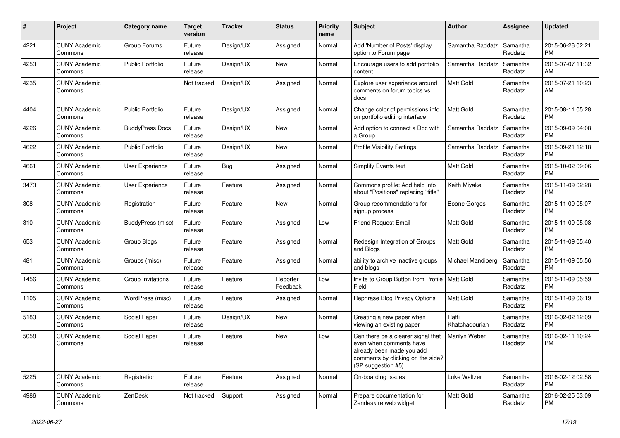| #    | Project                         | <b>Category name</b>    | <b>Target</b><br>version | <b>Tracker</b> | <b>Status</b>        | <b>Priority</b><br>name | Subject                                                                                                                                               | Author                  | Assignee            | <b>Updated</b>                |
|------|---------------------------------|-------------------------|--------------------------|----------------|----------------------|-------------------------|-------------------------------------------------------------------------------------------------------------------------------------------------------|-------------------------|---------------------|-------------------------------|
| 4221 | <b>CUNY Academic</b><br>Commons | Group Forums            | Future<br>release        | Design/UX      | Assigned             | Normal                  | Add 'Number of Posts' display<br>option to Forum page                                                                                                 | Samantha Raddatz        | Samantha<br>Raddatz | 2015-06-26 02:21<br><b>PM</b> |
| 4253 | <b>CUNY Academic</b><br>Commons | <b>Public Portfolio</b> | Future<br>release        | Design/UX      | <b>New</b>           | Normal                  | Encourage users to add portfolio<br>content                                                                                                           | Samantha Raddatz        | Samantha<br>Raddatz | 2015-07-07 11:32<br>AM        |
| 4235 | <b>CUNY Academic</b><br>Commons |                         | Not tracked              | Design/UX      | Assigned             | Normal                  | Explore user experience around<br>comments on forum topics vs<br>docs                                                                                 | Matt Gold               | Samantha<br>Raddatz | 2015-07-21 10:23<br>AM        |
| 4404 | <b>CUNY Academic</b><br>Commons | <b>Public Portfolio</b> | Future<br>release        | Design/UX      | Assigned             | Normal                  | Change color of permissions info<br>on portfolio editing interface                                                                                    | Matt Gold               | Samantha<br>Raddatz | 2015-08-11 05:28<br><b>PM</b> |
| 4226 | <b>CUNY Academic</b><br>Commons | <b>BuddyPress Docs</b>  | Future<br>release        | Design/UX      | <b>New</b>           | Normal                  | Add option to connect a Doc with<br>a Group                                                                                                           | Samantha Raddatz        | Samantha<br>Raddatz | 2015-09-09 04:08<br><b>PM</b> |
| 4622 | <b>CUNY Academic</b><br>Commons | <b>Public Portfolio</b> | Future<br>release        | Design/UX      | <b>New</b>           | Normal                  | <b>Profile Visibility Settings</b>                                                                                                                    | Samantha Raddatz        | Samantha<br>Raddatz | 2015-09-21 12:18<br><b>PM</b> |
| 4661 | <b>CUNY Academic</b><br>Commons | User Experience         | Future<br>release        | Bug            | Assigned             | Normal                  | Simplify Events text                                                                                                                                  | <b>Matt Gold</b>        | Samantha<br>Raddatz | 2015-10-02 09:06<br><b>PM</b> |
| 3473 | <b>CUNY Academic</b><br>Commons | User Experience         | Future<br>release        | Feature        | Assigned             | Normal                  | Commons profile: Add help info<br>about "Positions" replacing "title"                                                                                 | Keith Miyake            | Samantha<br>Raddatz | 2015-11-09 02:28<br><b>PM</b> |
| 308  | <b>CUNY Academic</b><br>Commons | Registration            | Future<br>release        | Feature        | <b>New</b>           | Normal                  | Group recommendations for<br>signup process                                                                                                           | <b>Boone Gorges</b>     | Samantha<br>Raddatz | 2015-11-09 05:07<br><b>PM</b> |
| 310  | <b>CUNY Academic</b><br>Commons | BuddyPress (misc)       | Future<br>release        | Feature        | Assigned             | Low                     | <b>Friend Request Email</b>                                                                                                                           | Matt Gold               | Samantha<br>Raddatz | 2015-11-09 05:08<br><b>PM</b> |
| 653  | <b>CUNY Academic</b><br>Commons | Group Blogs             | Future<br>release        | Feature        | Assigned             | Normal                  | Redesign Integration of Groups<br>and Blogs                                                                                                           | <b>Matt Gold</b>        | Samantha<br>Raddatz | 2015-11-09 05:40<br><b>PM</b> |
| 481  | <b>CUNY Academic</b><br>Commons | Groups (misc)           | Future<br>release        | Feature        | Assigned             | Normal                  | ability to archive inactive groups<br>and blogs                                                                                                       | Michael Mandiberg       | Samantha<br>Raddatz | 2015-11-09 05:56<br><b>PM</b> |
| 1456 | <b>CUNY Academic</b><br>Commons | Group Invitations       | Future<br>release        | Feature        | Reporter<br>Feedback | Low                     | Invite to Group Button from Profile<br>Field                                                                                                          | <b>Matt Gold</b>        | Samantha<br>Raddatz | 2015-11-09 05:59<br><b>PM</b> |
| 1105 | <b>CUNY Academic</b><br>Commons | WordPress (misc)        | Future<br>release        | Feature        | Assigned             | Normal                  | Rephrase Blog Privacy Options                                                                                                                         | <b>Matt Gold</b>        | Samantha<br>Raddatz | 2015-11-09 06:19<br><b>PM</b> |
| 5183 | <b>CUNY Academic</b><br>Commons | Social Paper            | Future<br>release        | Design/UX      | New                  | Normal                  | Creating a new paper when<br>viewing an existing paper                                                                                                | Raffi<br>Khatchadourian | Samantha<br>Raddatz | 2016-02-02 12:09<br><b>PM</b> |
| 5058 | <b>CUNY Academic</b><br>Commons | Social Paper            | Future<br>release        | Feature        | <b>New</b>           | Low                     | Can there be a clearer signal that<br>even when comments have<br>already been made you add<br>comments by clicking on the side?<br>(SP suggestion #5) | Marilyn Weber           | Samantha<br>Raddatz | 2016-02-11 10:24<br><b>PM</b> |
| 5225 | <b>CUNY Academic</b><br>Commons | Registration            | Future<br>release        | Feature        | Assigned             | Normal                  | On-boarding Issues                                                                                                                                    | Luke Waltzer            | Samantha<br>Raddatz | 2016-02-12 02:58<br><b>PM</b> |
| 4986 | <b>CUNY Academic</b><br>Commons | ZenDesk                 | Not tracked              | Support        | Assigned             | Normal                  | Prepare documentation for<br>Zendesk re web widget                                                                                                    | Matt Gold               | Samantha<br>Raddatz | 2016-02-25 03:09<br>PM        |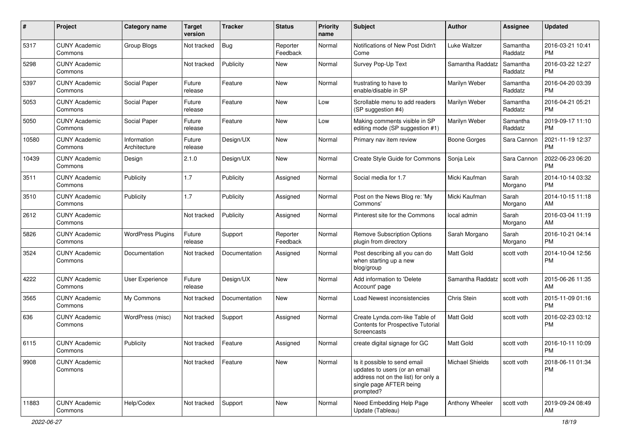| #     | Project                         | <b>Category name</b>        | <b>Target</b><br>version | <b>Tracker</b> | <b>Status</b>        | <b>Priority</b><br>name | Subject                                                                                                                                      | Author                 | <b>Assignee</b>     | <b>Updated</b>                |
|-------|---------------------------------|-----------------------------|--------------------------|----------------|----------------------|-------------------------|----------------------------------------------------------------------------------------------------------------------------------------------|------------------------|---------------------|-------------------------------|
| 5317  | <b>CUNY Academic</b><br>Commons | <b>Group Blogs</b>          | Not tracked              | <b>Bug</b>     | Reporter<br>Feedback | Normal                  | Notifications of New Post Didn't<br>Come                                                                                                     | <b>Luke Waltzer</b>    | Samantha<br>Raddatz | 2016-03-21 10:41<br><b>PM</b> |
| 5298  | <b>CUNY Academic</b><br>Commons |                             | Not tracked              | Publicity      | New                  | Normal                  | Survey Pop-Up Text                                                                                                                           | Samantha Raddatz       | Samantha<br>Raddatz | 2016-03-22 12:27<br><b>PM</b> |
| 5397  | <b>CUNY Academic</b><br>Commons | Social Paper                | Future<br>release        | Feature        | New                  | Normal                  | frustrating to have to<br>enable/disable in SP                                                                                               | Marilyn Weber          | Samantha<br>Raddatz | 2016-04-20 03:39<br><b>PM</b> |
| 5053  | <b>CUNY Academic</b><br>Commons | Social Paper                | Future<br>release        | Feature        | <b>New</b>           | Low                     | Scrollable menu to add readers<br>(SP suggestion #4)                                                                                         | Marilyn Weber          | Samantha<br>Raddatz | 2016-04-21 05:21<br><b>PM</b> |
| 5050  | <b>CUNY Academic</b><br>Commons | Social Paper                | Future<br>release        | Feature        | New                  | Low                     | Making comments visible in SP<br>editing mode (SP suggestion #1)                                                                             | Marilyn Weber          | Samantha<br>Raddatz | 2019-09-17 11:10<br><b>PM</b> |
| 10580 | <b>CUNY Academic</b><br>Commons | Information<br>Architecture | Future<br>release        | Design/UX      | New                  | Normal                  | Primary nav item review                                                                                                                      | <b>Boone Gorges</b>    | Sara Cannon         | 2021-11-19 12:37<br><b>PM</b> |
| 10439 | <b>CUNY Academic</b><br>Commons | Design                      | 2.1.0                    | Design/UX      | New                  | Normal                  | Create Style Guide for Commons                                                                                                               | Sonja Leix             | Sara Cannon         | 2022-06-23 06:20<br><b>PM</b> |
| 3511  | <b>CUNY Academic</b><br>Commons | Publicity                   | 1.7                      | Publicity      | Assigned             | Normal                  | Social media for 1.7                                                                                                                         | Micki Kaufman          | Sarah<br>Morgano    | 2014-10-14 03:32<br><b>PM</b> |
| 3510  | <b>CUNY Academic</b><br>Commons | Publicity                   | 1.7                      | Publicity      | Assigned             | Normal                  | Post on the News Blog re: 'My<br>Commons'                                                                                                    | Micki Kaufman          | Sarah<br>Morgano    | 2014-10-15 11:18<br>AM        |
| 2612  | <b>CUNY Academic</b><br>Commons |                             | Not tracked              | Publicity      | Assigned             | Normal                  | Pinterest site for the Commons                                                                                                               | local admin            | Sarah<br>Morgano    | 2016-03-04 11:19<br>AM        |
| 5826  | <b>CUNY Academic</b><br>Commons | <b>WordPress Plugins</b>    | Future<br>release        | Support        | Reporter<br>Feedback | Normal                  | <b>Remove Subscription Options</b><br>plugin from directory                                                                                  | Sarah Morgano          | Sarah<br>Morgano    | 2016-10-21 04:14<br><b>PM</b> |
| 3524  | <b>CUNY Academic</b><br>Commons | Documentation               | Not tracked              | Documentation  | Assigned             | Normal                  | Post describing all you can do<br>when starting up a new<br>blog/group                                                                       | <b>Matt Gold</b>       | scott voth          | 2014-10-04 12:56<br><b>PM</b> |
| 4222  | <b>CUNY Academic</b><br>Commons | User Experience             | Future<br>release        | Design/UX      | New                  | Normal                  | Add information to 'Delete<br>Account' page                                                                                                  | Samantha Raddatz       | scott voth          | 2015-06-26 11:35<br>AM        |
| 3565  | <b>CUNY Academic</b><br>Commons | My Commons                  | Not tracked              | Documentation  | New                  | Normal                  | Load Newest inconsistencies                                                                                                                  | Chris Stein            | scott voth          | 2015-11-09 01:16<br><b>PM</b> |
| 636   | <b>CUNY Academic</b><br>Commons | WordPress (misc)            | Not tracked              | Support        | Assigned             | Normal                  | Create Lynda.com-like Table of<br>Contents for Prospective Tutorial<br>Screencasts                                                           | <b>Matt Gold</b>       | scott voth          | 2016-02-23 03:12<br><b>PM</b> |
| 6115  | <b>CUNY Academic</b><br>Commons | Publicity                   | Not tracked              | Feature        | Assigned             | Normal                  | create digital signage for GC                                                                                                                | <b>Matt Gold</b>       | scott voth          | 2016-10-11 10:09<br>PM        |
| 9908  | <b>CUNY Academic</b><br>Commons |                             | Not tracked              | Feature        | New                  | Normal                  | Is it possible to send email<br>updates to users (or an email<br>address not on the list) for only a<br>single page AFTER being<br>prompted? | <b>Michael Shields</b> | scott voth          | 2018-06-11 01:34<br><b>PM</b> |
| 11883 | <b>CUNY Academic</b><br>Commons | Help/Codex                  | Not tracked              | Support        | New                  | Normal                  | Need Embedding Help Page<br>Update (Tableau)                                                                                                 | Anthony Wheeler        | scott voth          | 2019-09-24 08:49<br>AM        |